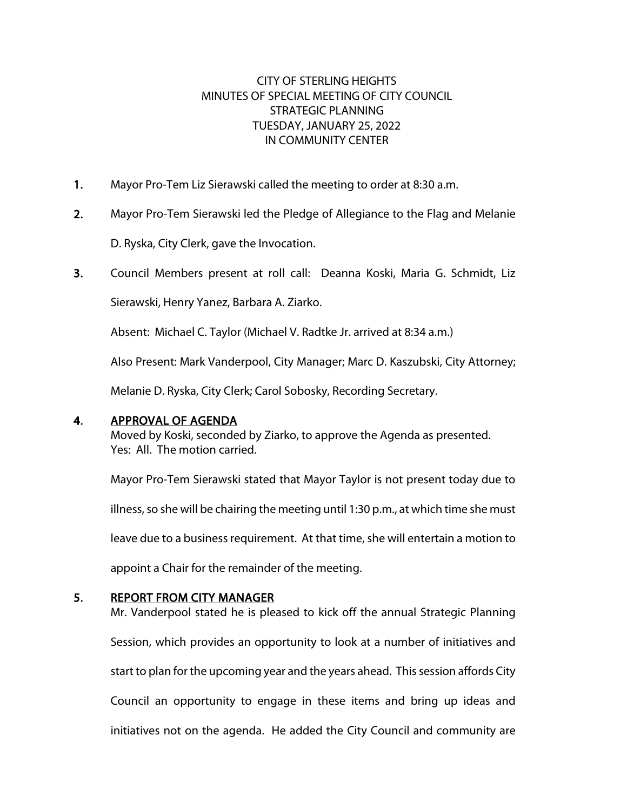## CITY OF STERLING HEIGHTS MINUTES OF SPECIAL MEETING OF CITY COUNCIL STRATEGIC PLANNING TUESDAY, JANUARY 25, 2022 IN COMMUNITY CENTER

- 1. Mayor Pro-Tem Liz Sierawski called the meeting to order at 8:30 a.m.
- 2. Mayor Pro-Tem Sierawski led the Pledge of Allegiance to the Flag and Melanie

D. Ryska, City Clerk, gave the Invocation.

3. Council Members present at roll call: Deanna Koski, Maria G. Schmidt, Liz

Sierawski, Henry Yanez, Barbara A. Ziarko.

Absent: Michael C. Taylor (Michael V. Radtke Jr. arrived at 8:34 a.m.)

Also Present: Mark Vanderpool, City Manager; Marc D. Kaszubski, City Attorney;

Melanie D. Ryska, City Clerk; Carol Sobosky, Recording Secretary.

### 4. APPROVAL OF AGENDA

Moved by Koski, seconded by Ziarko, to approve the Agenda as presented. Yes: All. The motion carried.

Mayor Pro-Tem Sierawski stated that Mayor Taylor is not present today due to

illness, so she will be chairing the meeting until 1:30 p.m., at which time she must

leave due to a business requirement. At that time, she will entertain a motion to

appoint a Chair for the remainder of the meeting.

## 5. REPORT FROM CITY MANAGER

Mr. Vanderpool stated he is pleased to kick off the annual Strategic Planning Session, which provides an opportunity to look at a number of initiatives and start to plan for the upcoming year and the years ahead. This session affords City Council an opportunity to engage in these items and bring up ideas and initiatives not on the agenda. He added the City Council and community are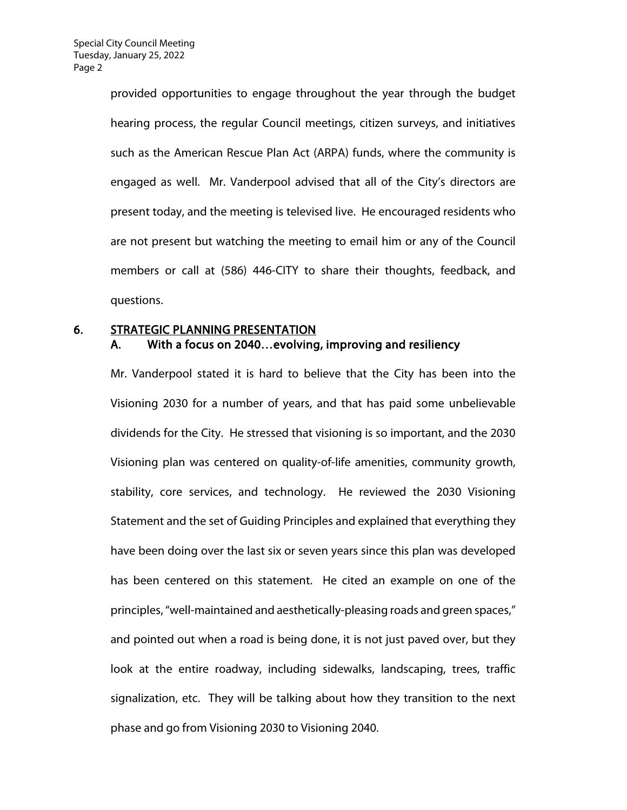provided opportunities to engage throughout the year through the budget hearing process, the regular Council meetings, citizen surveys, and initiatives such as the American Rescue Plan Act (ARPA) funds, where the community is engaged as well. Mr. Vanderpool advised that all of the City's directors are present today, and the meeting is televised live. He encouraged residents who are not present but watching the meeting to email him or any of the Council members or call at (586) 446-CITY to share their thoughts, feedback, and questions.

## 6. STRATEGIC PLANNING PRESENTATION A. With a focus on 2040…evolving, improving and resiliency

Mr. Vanderpool stated it is hard to believe that the City has been into the Visioning 2030 for a number of years, and that has paid some unbelievable dividends for the City. He stressed that visioning is so important, and the 2030 Visioning plan was centered on quality-of-life amenities, community growth, stability, core services, and technology. He reviewed the 2030 Visioning Statement and the set of Guiding Principles and explained that everything they have been doing over the last six or seven years since this plan was developed has been centered on this statement. He cited an example on one of the principles, "well-maintained and aesthetically-pleasing roads and green spaces," and pointed out when a road is being done, it is not just paved over, but they look at the entire roadway, including sidewalks, landscaping, trees, traffic signalization, etc. They will be talking about how they transition to the next phase and go from Visioning 2030 to Visioning 2040.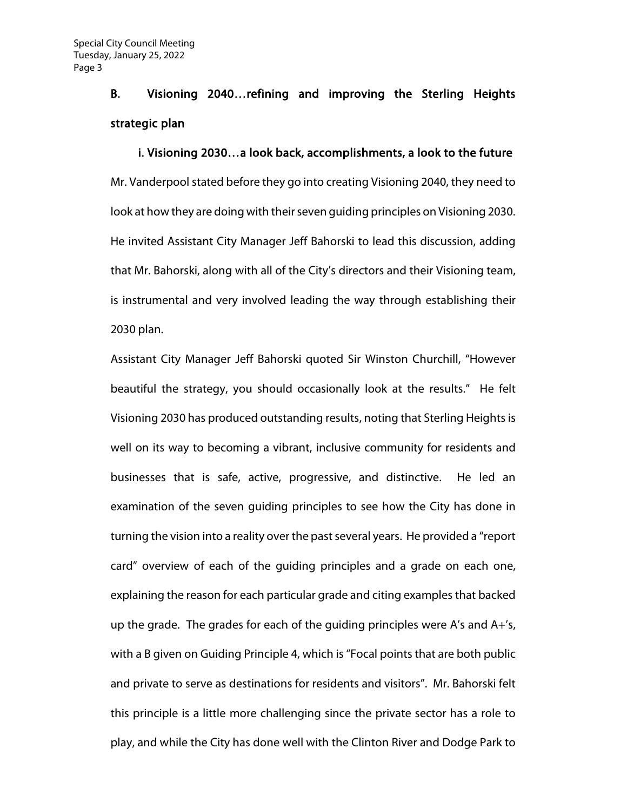# B. Visioning 2040…refining and improving the Sterling Heights strategic plan

### i. Visioning 2030…a look back, accomplishments, a look to the future

Mr. Vanderpool stated before they go into creating Visioning 2040, they need to look at how they are doing with their seven guiding principles on Visioning 2030. He invited Assistant City Manager Jeff Bahorski to lead this discussion, adding that Mr. Bahorski, along with all of the City's directors and their Visioning team, is instrumental and very involved leading the way through establishing their 2030 plan.

Assistant City Manager Jeff Bahorski quoted Sir Winston Churchill, "However beautiful the strategy, you should occasionally look at the results." He felt Visioning 2030 has produced outstanding results, noting that Sterling Heights is well on its way to becoming a vibrant, inclusive community for residents and businesses that is safe, active, progressive, and distinctive. He led an examination of the seven guiding principles to see how the City has done in turning the vision into a reality over the past several years. He provided a "report card" overview of each of the guiding principles and a grade on each one, explaining the reason for each particular grade and citing examples that backed up the grade. The grades for each of the guiding principles were A's and A+'s, with a B given on Guiding Principle 4, which is "Focal points that are both public and private to serve as destinations for residents and visitors". Mr. Bahorski felt this principle is a little more challenging since the private sector has a role to play, and while the City has done well with the Clinton River and Dodge Park to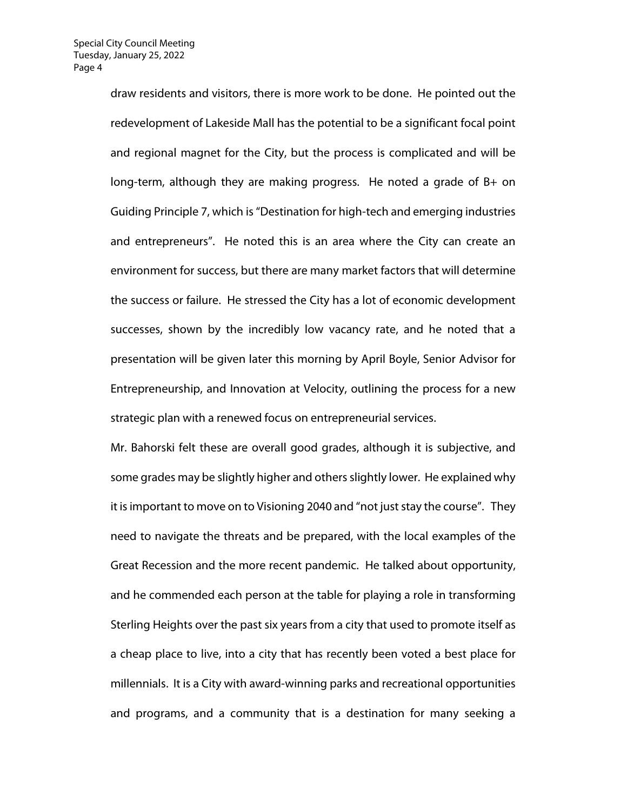draw residents and visitors, there is more work to be done. He pointed out the redevelopment of Lakeside Mall has the potential to be a significant focal point and regional magnet for the City, but the process is complicated and will be long-term, although they are making progress. He noted a grade of B+ on Guiding Principle 7, which is "Destination for high-tech and emerging industries and entrepreneurs". He noted this is an area where the City can create an environment for success, but there are many market factors that will determine the success or failure. He stressed the City has a lot of economic development successes, shown by the incredibly low vacancy rate, and he noted that a presentation will be given later this morning by April Boyle, Senior Advisor for Entrepreneurship, and Innovation at Velocity, outlining the process for a new strategic plan with a renewed focus on entrepreneurial services.

Mr. Bahorski felt these are overall good grades, although it is subjective, and some grades may be slightly higher and others slightly lower. He explained why it is important to move on to Visioning 2040 and "not just stay the course". They need to navigate the threats and be prepared, with the local examples of the Great Recession and the more recent pandemic. He talked about opportunity, and he commended each person at the table for playing a role in transforming Sterling Heights over the past six years from a city that used to promote itself as a cheap place to live, into a city that has recently been voted a best place for millennials. It is a City with award-winning parks and recreational opportunities and programs, and a community that is a destination for many seeking a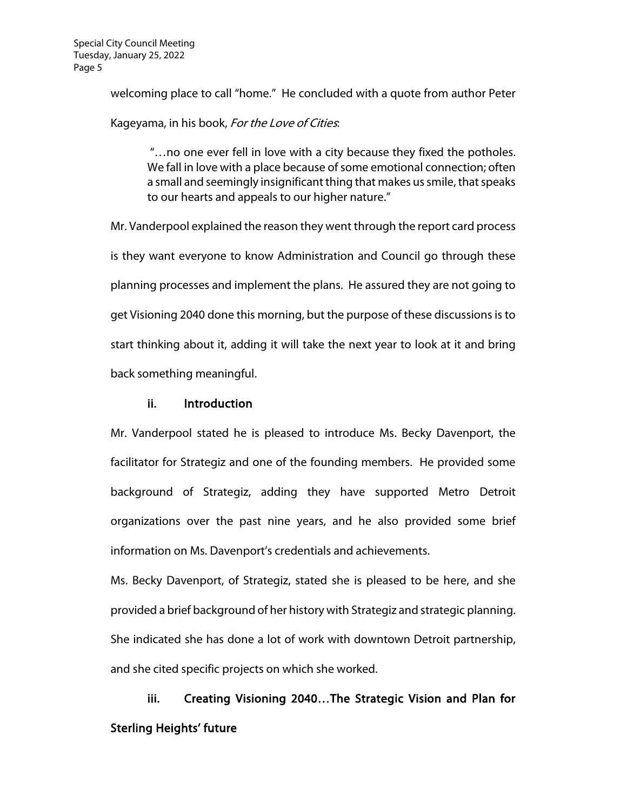welcoming place to call "home." He concluded with a quote from author Peter

Kageyama, in his book, For the Love of Cities.

"…no one ever fell in love with a city because they fixed the potholes. We fall in love with a place because of some emotional connection; often a small and seemingly insignificant thing that makes us smile, that speaks to our hearts and appeals to our higher nature."

Mr. Vanderpool explained the reason they went through the report card process is they want everyone to know Administration and Council go through these planning processes and implement the plans. He assured they are not going to get Visioning 2040 done this morning, but the purpose of these discussions is to start thinking about it, adding it will take the next year to look at it and bring back something meaningful.

#### ii. Introduction

Mr. Vanderpool stated he is pleased to introduce Ms. Becky Davenport, the facilitator for Strategiz and one of the founding members. He provided some background of Strategiz, adding they have supported Metro Detroit organizations over the past nine years, and he also provided some brief information on Ms. Davenport's credentials and achievements.

Ms. Becky Davenport, of Strategiz, stated she is pleased to be here, and she provided a brief background of her history with Strategiz and strategic planning. She indicated she has done a lot of work with downtown Detroit partnership, and she cited specific projects on which she worked.

iii. Creating Visioning 2040…The Strategic Vision and Plan for Sterling Heights' future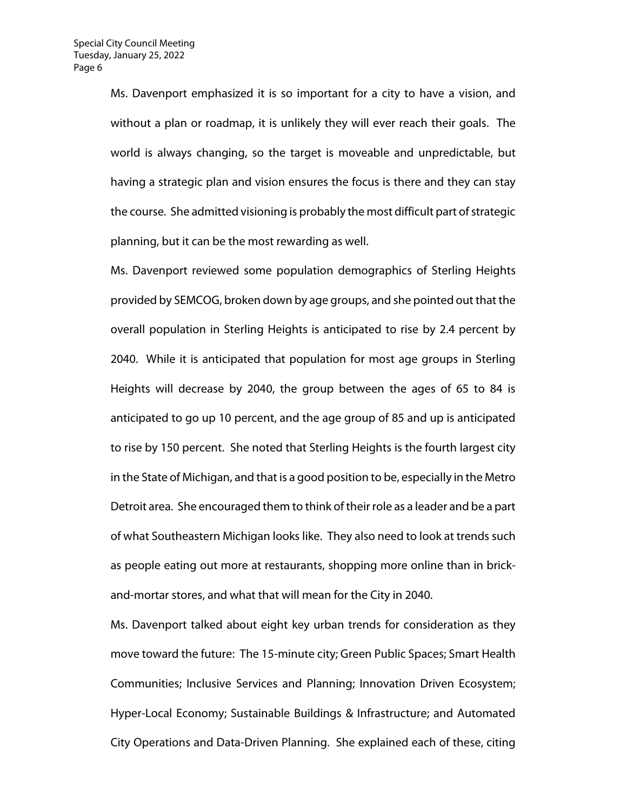Ms. Davenport emphasized it is so important for a city to have a vision, and without a plan or roadmap, it is unlikely they will ever reach their goals. The world is always changing, so the target is moveable and unpredictable, but having a strategic plan and vision ensures the focus is there and they can stay the course. She admitted visioning is probably the most difficult part of strategic planning, but it can be the most rewarding as well.

Ms. Davenport reviewed some population demographics of Sterling Heights provided by SEMCOG, broken down by age groups, and she pointed out that the overall population in Sterling Heights is anticipated to rise by 2.4 percent by 2040. While it is anticipated that population for most age groups in Sterling Heights will decrease by 2040, the group between the ages of 65 to 84 is anticipated to go up 10 percent, and the age group of 85 and up is anticipated to rise by 150 percent. She noted that Sterling Heights is the fourth largest city in the State of Michigan, and that is a good position to be, especially in the Metro Detroit area. She encouraged them to think of their role as a leader and be a part of what Southeastern Michigan looks like. They also need to look at trends such as people eating out more at restaurants, shopping more online than in brickand-mortar stores, and what that will mean for the City in 2040.

Ms. Davenport talked about eight key urban trends for consideration as they move toward the future: The 15-minute city; Green Public Spaces; Smart Health Communities; Inclusive Services and Planning; Innovation Driven Ecosystem; Hyper-Local Economy; Sustainable Buildings & Infrastructure; and Automated City Operations and Data-Driven Planning. She explained each of these, citing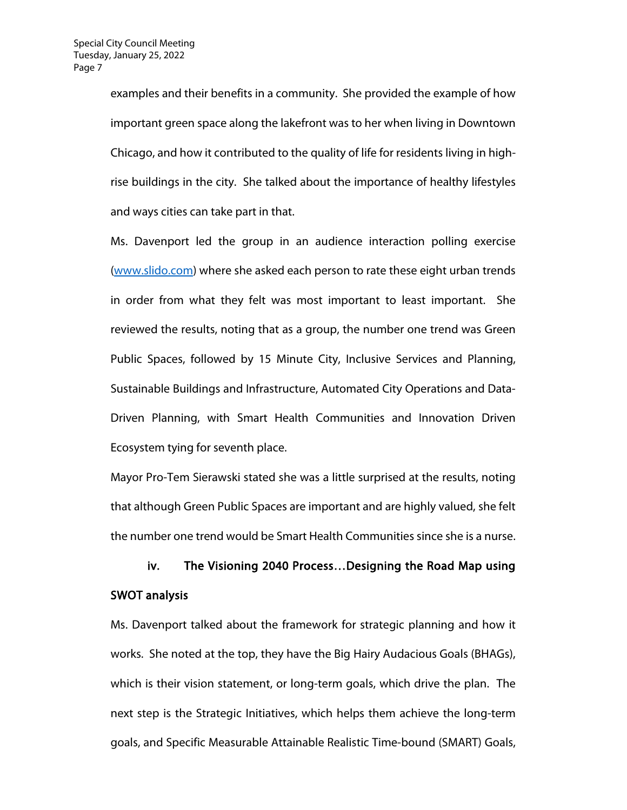examples and their benefits in a community. She provided the example of how important green space along the lakefront was to her when living in Downtown Chicago, and how it contributed to the quality of life for residents living in highrise buildings in the city. She talked about the importance of healthy lifestyles and ways cities can take part in that.

Ms. Davenport led the group in an audience interaction polling exercise [\(www.slido.com\)](http://www.slido.com/) where she asked each person to rate these eight urban trends in order from what they felt was most important to least important. She reviewed the results, noting that as a group, the number one trend was Green Public Spaces, followed by 15 Minute City, Inclusive Services and Planning, Sustainable Buildings and Infrastructure, Automated City Operations and Data-Driven Planning, with Smart Health Communities and Innovation Driven Ecosystem tying for seventh place.

Mayor Pro-Tem Sierawski stated she was a little surprised at the results, noting that although Green Public Spaces are important and are highly valued, she felt the number one trend would be Smart Health Communities since she is a nurse.

# iv. The Visioning 2040 Process…Designing the Road Map using SWOT analysis

Ms. Davenport talked about the framework for strategic planning and how it works. She noted at the top, they have the Big Hairy Audacious Goals (BHAGs), which is their vision statement, or long-term goals, which drive the plan. The next step is the Strategic Initiatives, which helps them achieve the long-term goals, and Specific Measurable Attainable Realistic Time-bound (SMART) Goals,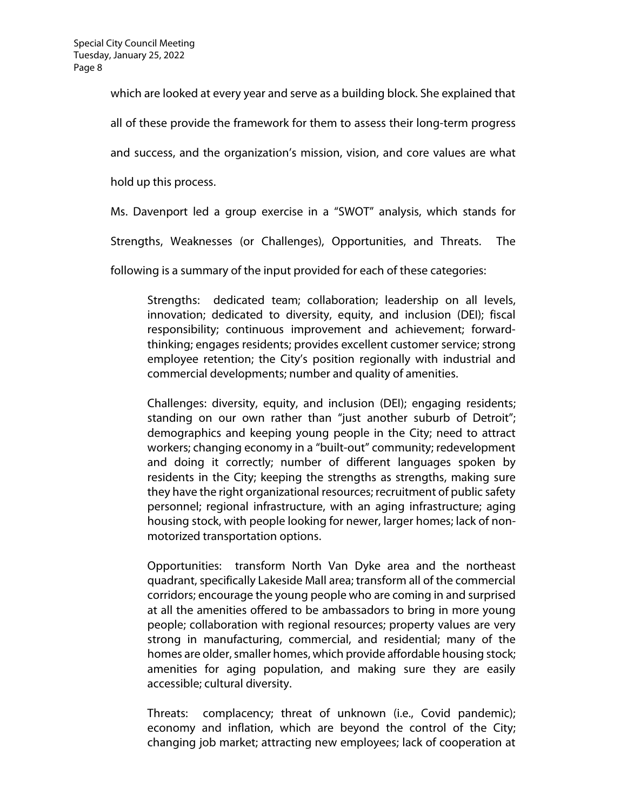which are looked at every year and serve as a building block. She explained that all of these provide the framework for them to assess their long-term progress and success, and the organization's mission, vision, and core values are what

hold up this process.

Ms. Davenport led a group exercise in a "SWOT" analysis, which stands for

Strengths, Weaknesses (or Challenges), Opportunities, and Threats. The

following is a summary of the input provided for each of these categories:

Strengths: dedicated team; collaboration; leadership on all levels, innovation; dedicated to diversity, equity, and inclusion (DEI); fiscal responsibility; continuous improvement and achievement; forwardthinking; engages residents; provides excellent customer service; strong employee retention; the City's position regionally with industrial and commercial developments; number and quality of amenities.

Challenges: diversity, equity, and inclusion (DEI); engaging residents; standing on our own rather than "just another suburb of Detroit"; demographics and keeping young people in the City; need to attract workers; changing economy in a "built-out" community; redevelopment and doing it correctly; number of different languages spoken by residents in the City; keeping the strengths as strengths, making sure they have the right organizational resources; recruitment of public safety personnel; regional infrastructure, with an aging infrastructure; aging housing stock, with people looking for newer, larger homes; lack of nonmotorized transportation options.

Opportunities: transform North Van Dyke area and the northeast quadrant, specifically Lakeside Mall area; transform all of the commercial corridors; encourage the young people who are coming in and surprised at all the amenities offered to be ambassadors to bring in more young people; collaboration with regional resources; property values are very strong in manufacturing, commercial, and residential; many of the homes are older, smaller homes, which provide affordable housing stock; amenities for aging population, and making sure they are easily accessible; cultural diversity.

Threats: complacency; threat of unknown (i.e., Covid pandemic); economy and inflation, which are beyond the control of the City; changing job market; attracting new employees; lack of cooperation at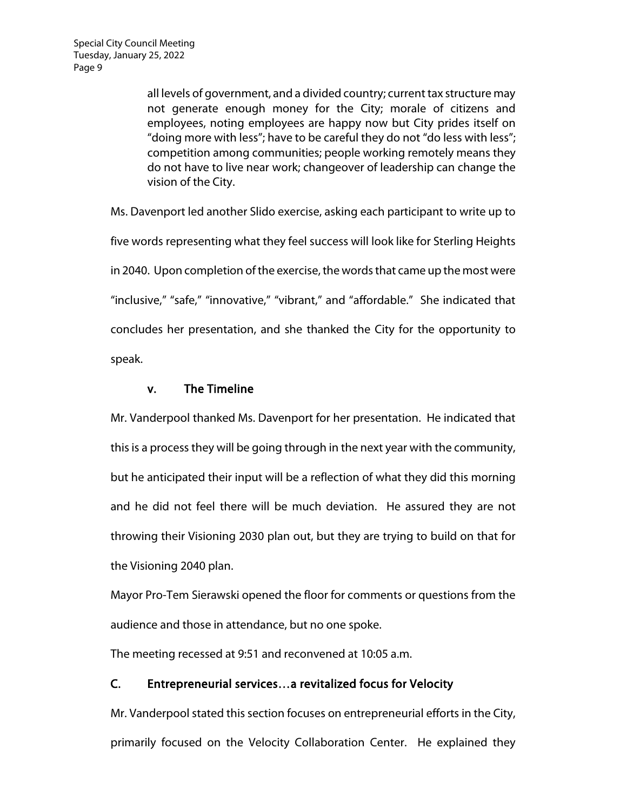all levels of government, and a divided country; current tax structure may not generate enough money for the City; morale of citizens and employees, noting employees are happy now but City prides itself on "doing more with less"; have to be careful they do not "do less with less"; competition among communities; people working remotely means they do not have to live near work; changeover of leadership can change the vision of the City.

Ms. Davenport led another Slido exercise, asking each participant to write up to five words representing what they feel success will look like for Sterling Heights in 2040. Upon completion of the exercise, the words that came up the most were "inclusive," "safe," "innovative," "vibrant," and "affordable." She indicated that concludes her presentation, and she thanked the City for the opportunity to speak.

### v. The Timeline

Mr. Vanderpool thanked Ms. Davenport for her presentation. He indicated that this is a process they will be going through in the next year with the community, but he anticipated their input will be a reflection of what they did this morning and he did not feel there will be much deviation. He assured they are not throwing their Visioning 2030 plan out, but they are trying to build on that for the Visioning 2040 plan.

Mayor Pro-Tem Sierawski opened the floor for comments or questions from the audience and those in attendance, but no one spoke.

The meeting recessed at 9:51 and reconvened at 10:05 a.m.

## C. Entrepreneurial services…a revitalized focus for Velocity

Mr. Vanderpool stated this section focuses on entrepreneurial efforts in the City, primarily focused on the Velocity Collaboration Center. He explained they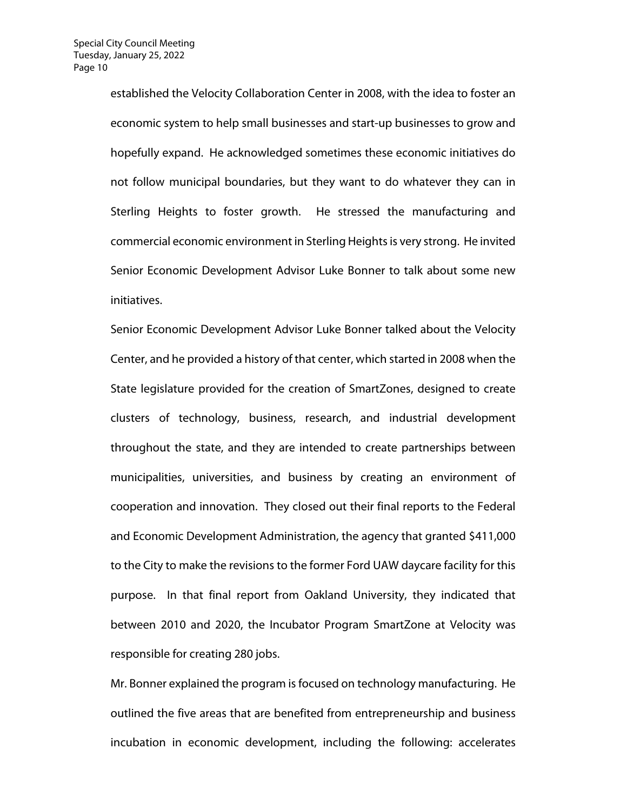established the Velocity Collaboration Center in 2008, with the idea to foster an economic system to help small businesses and start-up businesses to grow and hopefully expand. He acknowledged sometimes these economic initiatives do not follow municipal boundaries, but they want to do whatever they can in Sterling Heights to foster growth. He stressed the manufacturing and commercial economic environment in Sterling Heights is very strong. He invited Senior Economic Development Advisor Luke Bonner to talk about some new initiatives.

Senior Economic Development Advisor Luke Bonner talked about the Velocity Center, and he provided a history of that center, which started in 2008 when the State legislature provided for the creation of SmartZones, designed to create clusters of technology, business, research, and industrial development throughout the state, and they are intended to create partnerships between municipalities, universities, and business by creating an environment of cooperation and innovation. They closed out their final reports to the Federal and Economic Development Administration, the agency that granted \$411,000 to the City to make the revisions to the former Ford UAW daycare facility for this purpose. In that final report from Oakland University, they indicated that between 2010 and 2020, the Incubator Program SmartZone at Velocity was responsible for creating 280 jobs.

Mr. Bonner explained the program is focused on technology manufacturing. He outlined the five areas that are benefited from entrepreneurship and business incubation in economic development, including the following: accelerates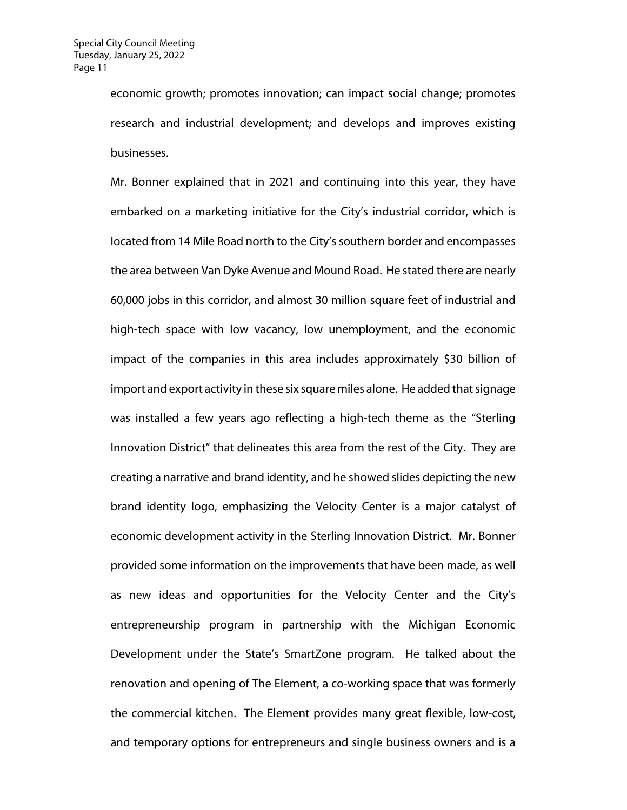economic growth; promotes innovation; can impact social change; promotes research and industrial development; and develops and improves existing businesses.

Mr. Bonner explained that in 2021 and continuing into this year, they have embarked on a marketing initiative for the City's industrial corridor, which is located from 14 Mile Road north to the City's southern border and encompasses the area between Van Dyke Avenue and Mound Road. He stated there are nearly 60,000 jobs in this corridor, and almost 30 million square feet of industrial and high-tech space with low vacancy, low unemployment, and the economic impact of the companies in this area includes approximately \$30 billion of import and export activity in these six square miles alone. He added that signage was installed a few years ago reflecting a high-tech theme as the "Sterling Innovation District" that delineates this area from the rest of the City. They are creating a narrative and brand identity, and he showed slides depicting the new brand identity logo, emphasizing the Velocity Center is a major catalyst of economic development activity in the Sterling Innovation District. Mr. Bonner provided some information on the improvements that have been made, as well as new ideas and opportunities for the Velocity Center and the City's entrepreneurship program in partnership with the Michigan Economic Development under the State's SmartZone program. He talked about the renovation and opening of The Element, a co-working space that was formerly the commercial kitchen. The Element provides many great flexible, low-cost, and temporary options for entrepreneurs and single business owners and is a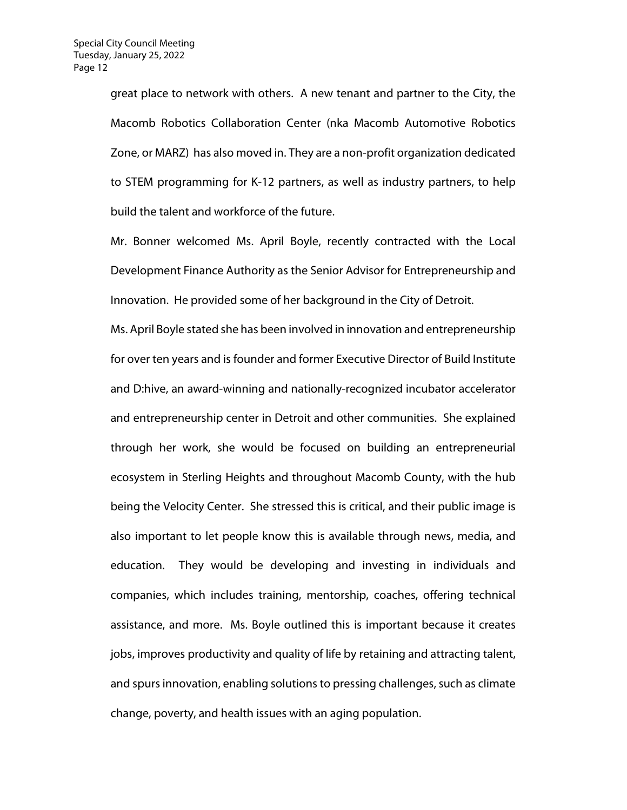great place to network with others. A new tenant and partner to the City, the Macomb Robotics Collaboration Center (nka Macomb Automotive Robotics Zone, or MARZ) has also moved in. They are a non-profit organization dedicated to STEM programming for K-12 partners, as well as industry partners, to help build the talent and workforce of the future.

Mr. Bonner welcomed Ms. April Boyle, recently contracted with the Local Development Finance Authority as the Senior Advisor for Entrepreneurship and Innovation. He provided some of her background in the City of Detroit.

Ms. April Boyle stated she has been involved in innovation and entrepreneurship for over ten years and is founder and former Executive Director of Build Institute and D:hive, an award-winning and nationally-recognized incubator accelerator and entrepreneurship center in Detroit and other communities. She explained through her work, she would be focused on building an entrepreneurial ecosystem in Sterling Heights and throughout Macomb County, with the hub being the Velocity Center. She stressed this is critical, and their public image is also important to let people know this is available through news, media, and education. They would be developing and investing in individuals and companies, which includes training, mentorship, coaches, offering technical assistance, and more. Ms. Boyle outlined this is important because it creates jobs, improves productivity and quality of life by retaining and attracting talent, and spurs innovation, enabling solutions to pressing challenges, such as climate change, poverty, and health issues with an aging population.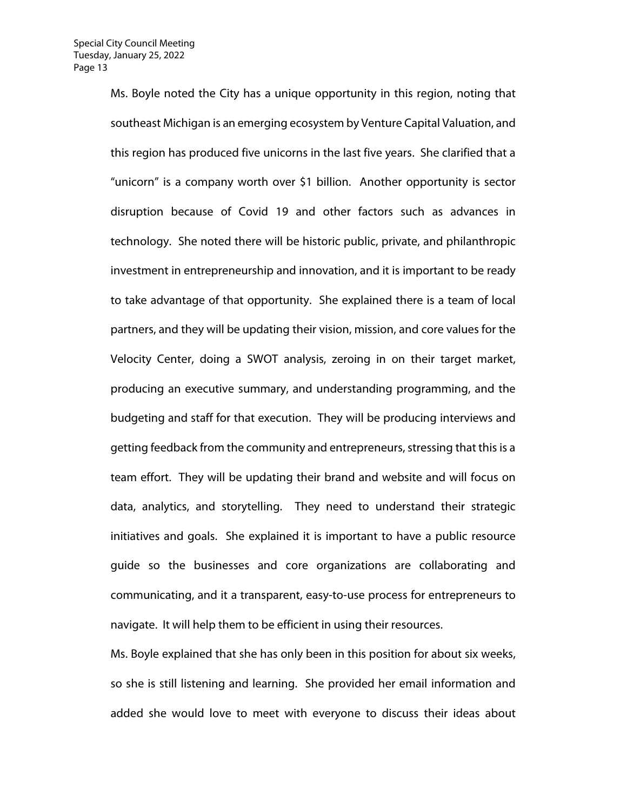Ms. Boyle noted the City has a unique opportunity in this region, noting that southeast Michigan is an emerging ecosystem by Venture Capital Valuation, and this region has produced five unicorns in the last five years. She clarified that a "unicorn" is a company worth over \$1 billion. Another opportunity is sector disruption because of Covid 19 and other factors such as advances in technology. She noted there will be historic public, private, and philanthropic investment in entrepreneurship and innovation, and it is important to be ready to take advantage of that opportunity. She explained there is a team of local partners, and they will be updating their vision, mission, and core values for the Velocity Center, doing a SWOT analysis, zeroing in on their target market, producing an executive summary, and understanding programming, and the budgeting and staff for that execution. They will be producing interviews and getting feedback from the community and entrepreneurs, stressing that this is a team effort. They will be updating their brand and website and will focus on data, analytics, and storytelling. They need to understand their strategic initiatives and goals. She explained it is important to have a public resource guide so the businesses and core organizations are collaborating and communicating, and it a transparent, easy-to-use process for entrepreneurs to navigate. It will help them to be efficient in using their resources.

Ms. Boyle explained that she has only been in this position for about six weeks, so she is still listening and learning. She provided her email information and added she would love to meet with everyone to discuss their ideas about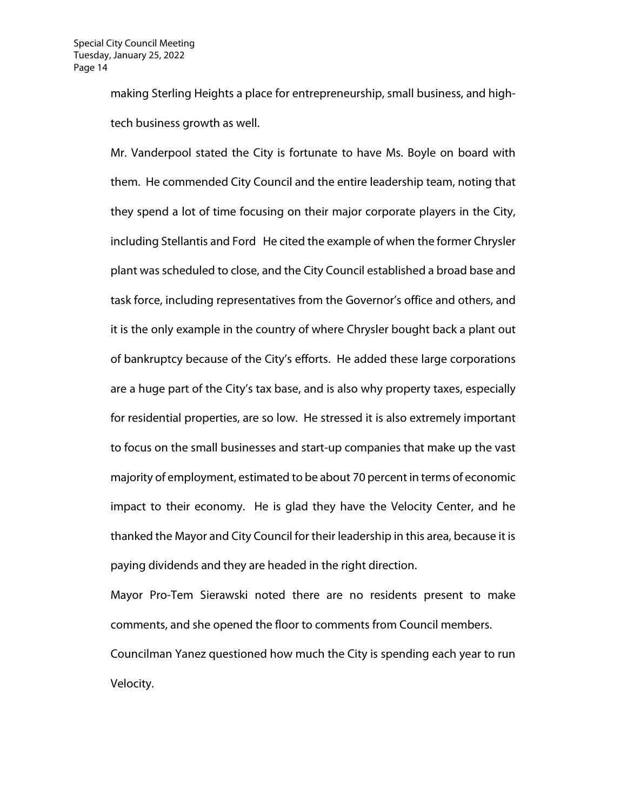making Sterling Heights a place for entrepreneurship, small business, and hightech business growth as well.

Mr. Vanderpool stated the City is fortunate to have Ms. Boyle on board with them. He commended City Council and the entire leadership team, noting that they spend a lot of time focusing on their major corporate players in the City, including Stellantis and Ford He cited the example of when the former Chrysler plant was scheduled to close, and the City Council established a broad base and task force, including representatives from the Governor's office and others, and it is the only example in the country of where Chrysler bought back a plant out of bankruptcy because of the City's efforts. He added these large corporations are a huge part of the City's tax base, and is also why property taxes, especially for residential properties, are so low. He stressed it is also extremely important to focus on the small businesses and start-up companies that make up the vast majority of employment, estimated to be about 70 percent in terms of economic impact to their economy. He is glad they have the Velocity Center, and he thanked the Mayor and City Council for their leadership in this area, because it is paying dividends and they are headed in the right direction.

Mayor Pro-Tem Sierawski noted there are no residents present to make comments, and she opened the floor to comments from Council members. Councilman Yanez questioned how much the City is spending each year to run Velocity.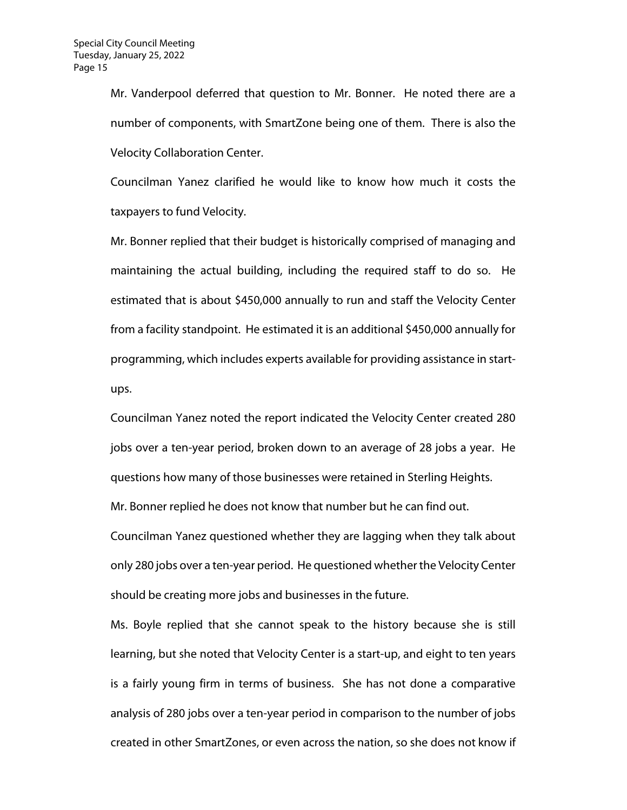Mr. Vanderpool deferred that question to Mr. Bonner. He noted there are a number of components, with SmartZone being one of them. There is also the Velocity Collaboration Center.

Councilman Yanez clarified he would like to know how much it costs the taxpayers to fund Velocity.

Mr. Bonner replied that their budget is historically comprised of managing and maintaining the actual building, including the required staff to do so. He estimated that is about \$450,000 annually to run and staff the Velocity Center from a facility standpoint. He estimated it is an additional \$450,000 annually for programming, which includes experts available for providing assistance in startups.

Councilman Yanez noted the report indicated the Velocity Center created 280 jobs over a ten-year period, broken down to an average of 28 jobs a year. He questions how many of those businesses were retained in Sterling Heights.

Mr. Bonner replied he does not know that number but he can find out.

Councilman Yanez questioned whether they are lagging when they talk about only 280 jobs over a ten-year period. He questioned whether the Velocity Center should be creating more jobs and businesses in the future.

Ms. Boyle replied that she cannot speak to the history because she is still learning, but she noted that Velocity Center is a start-up, and eight to ten years is a fairly young firm in terms of business. She has not done a comparative analysis of 280 jobs over a ten-year period in comparison to the number of jobs created in other SmartZones, or even across the nation, so she does not know if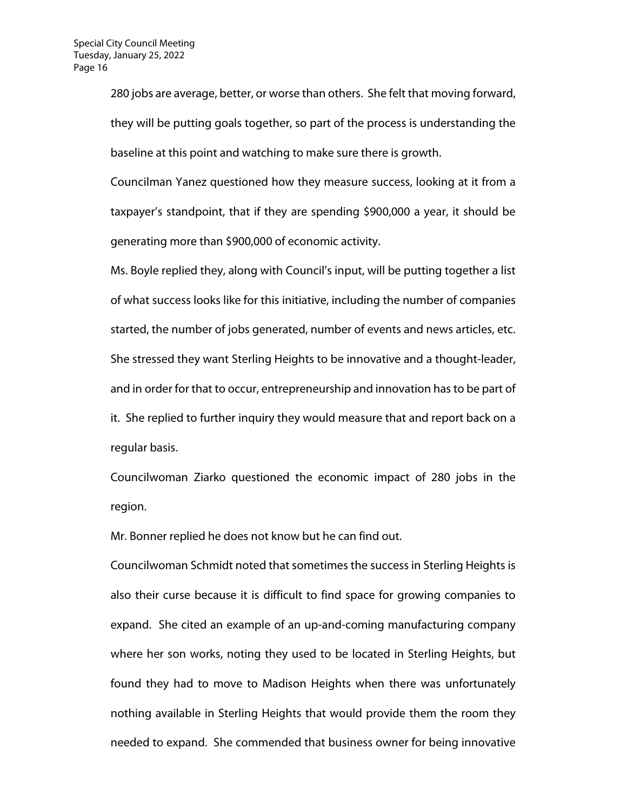280 jobs are average, better, or worse than others. She felt that moving forward, they will be putting goals together, so part of the process is understanding the baseline at this point and watching to make sure there is growth.

Councilman Yanez questioned how they measure success, looking at it from a taxpayer's standpoint, that if they are spending \$900,000 a year, it should be generating more than \$900,000 of economic activity.

Ms. Boyle replied they, along with Council's input, will be putting together a list of what success looks like for this initiative, including the number of companies started, the number of jobs generated, number of events and news articles, etc. She stressed they want Sterling Heights to be innovative and a thought-leader, and in order for that to occur, entrepreneurship and innovation has to be part of it. She replied to further inquiry they would measure that and report back on a regular basis.

Councilwoman Ziarko questioned the economic impact of 280 jobs in the region.

Mr. Bonner replied he does not know but he can find out.

Councilwoman Schmidt noted that sometimes the success in Sterling Heights is also their curse because it is difficult to find space for growing companies to expand. She cited an example of an up-and-coming manufacturing company where her son works, noting they used to be located in Sterling Heights, but found they had to move to Madison Heights when there was unfortunately nothing available in Sterling Heights that would provide them the room they needed to expand. She commended that business owner for being innovative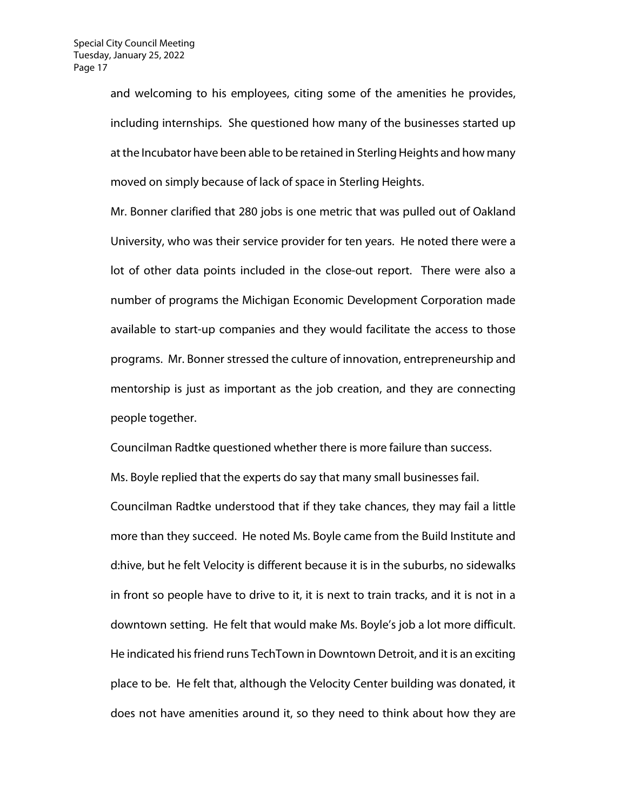and welcoming to his employees, citing some of the amenities he provides, including internships. She questioned how many of the businesses started up at the Incubator have been able to be retained in Sterling Heights and how many moved on simply because of lack of space in Sterling Heights.

Mr. Bonner clarified that 280 jobs is one metric that was pulled out of Oakland University, who was their service provider for ten years. He noted there were a lot of other data points included in the close-out report. There were also a number of programs the Michigan Economic Development Corporation made available to start-up companies and they would facilitate the access to those programs. Mr. Bonner stressed the culture of innovation, entrepreneurship and mentorship is just as important as the job creation, and they are connecting people together.

Councilman Radtke questioned whether there is more failure than success.

Ms. Boyle replied that the experts do say that many small businesses fail. Councilman Radtke understood that if they take chances, they may fail a little more than they succeed. He noted Ms. Boyle came from the Build Institute and d:hive, but he felt Velocity is different because it is in the suburbs, no sidewalks in front so people have to drive to it, it is next to train tracks, and it is not in a downtown setting. He felt that would make Ms. Boyle's job a lot more difficult. He indicated his friend runs TechTown in Downtown Detroit, and it is an exciting place to be. He felt that, although the Velocity Center building was donated, it does not have amenities around it, so they need to think about how they are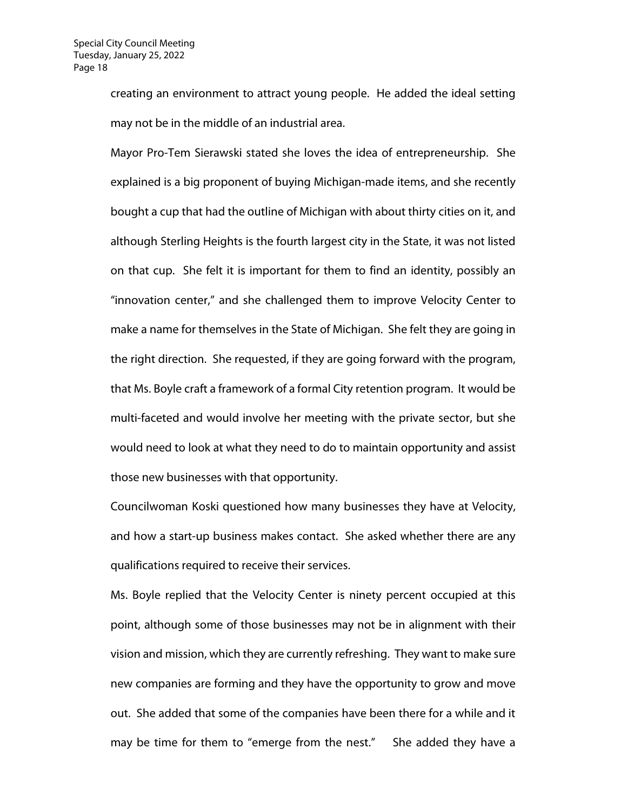creating an environment to attract young people. He added the ideal setting may not be in the middle of an industrial area.

Mayor Pro-Tem Sierawski stated she loves the idea of entrepreneurship. She explained is a big proponent of buying Michigan-made items, and she recently bought a cup that had the outline of Michigan with about thirty cities on it, and although Sterling Heights is the fourth largest city in the State, it was not listed on that cup. She felt it is important for them to find an identity, possibly an "innovation center," and she challenged them to improve Velocity Center to make a name for themselves in the State of Michigan. She felt they are going in the right direction. She requested, if they are going forward with the program, that Ms. Boyle craft a framework of a formal City retention program. It would be multi-faceted and would involve her meeting with the private sector, but she would need to look at what they need to do to maintain opportunity and assist those new businesses with that opportunity.

Councilwoman Koski questioned how many businesses they have at Velocity, and how a start-up business makes contact. She asked whether there are any qualifications required to receive their services.

Ms. Boyle replied that the Velocity Center is ninety percent occupied at this point, although some of those businesses may not be in alignment with their vision and mission, which they are currently refreshing. They want to make sure new companies are forming and they have the opportunity to grow and move out. She added that some of the companies have been there for a while and it may be time for them to "emerge from the nest." She added they have a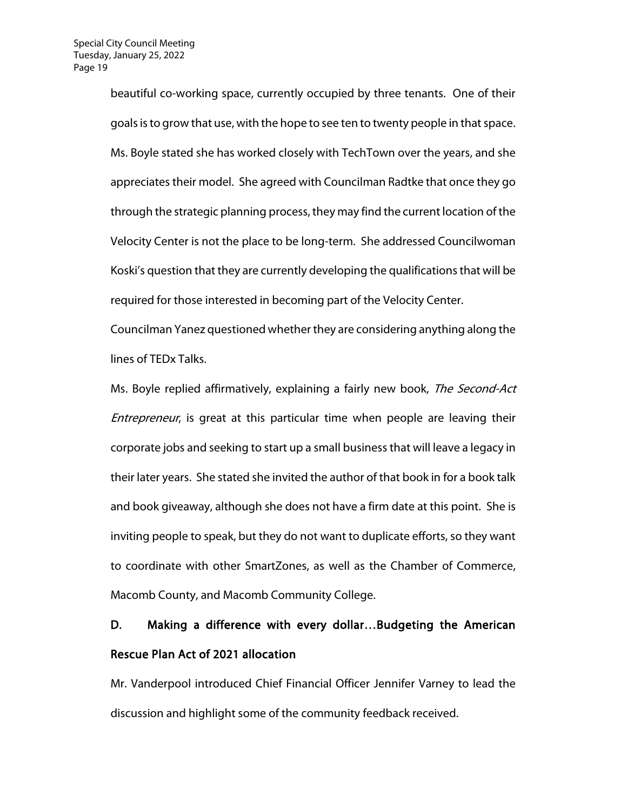beautiful co-working space, currently occupied by three tenants. One of their goals is to grow that use, with the hope to see ten to twenty people in that space. Ms. Boyle stated she has worked closely with TechTown over the years, and she appreciates their model. She agreed with Councilman Radtke that once they go through the strategic planning process, they may find the current location of the Velocity Center is not the place to be long-term. She addressed Councilwoman Koski's question that they are currently developing the qualifications that will be required for those interested in becoming part of the Velocity Center.

Councilman Yanez questioned whether they are considering anything along the lines of TEDx Talks.

Ms. Boyle replied affirmatively, explaining a fairly new book, The Second-Act Entrepreneur, is great at this particular time when people are leaving their corporate jobs and seeking to start up a small business that will leave a legacy in their later years. She stated she invited the author of that book in for a book talk and book giveaway, although she does not have a firm date at this point. She is inviting people to speak, but they do not want to duplicate efforts, so they want to coordinate with other SmartZones, as well as the Chamber of Commerce, Macomb County, and Macomb Community College.

# D. Making a difference with every dollar…Budgeting the American Rescue Plan Act of 2021 allocation

Mr. Vanderpool introduced Chief Financial Officer Jennifer Varney to lead the discussion and highlight some of the community feedback received.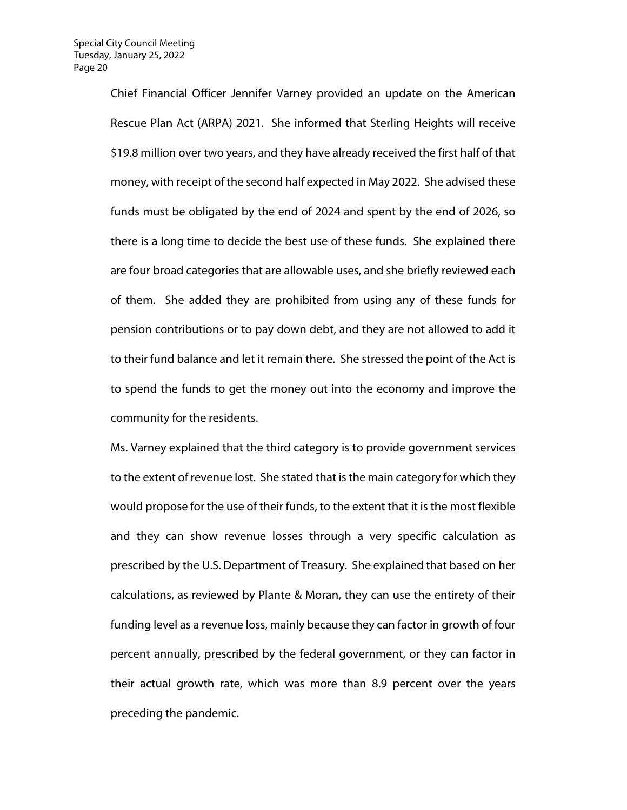Chief Financial Officer Jennifer Varney provided an update on the American Rescue Plan Act (ARPA) 2021. She informed that Sterling Heights will receive \$19.8 million over two years, and they have already received the first half of that money, with receipt of the second half expected in May 2022. She advised these funds must be obligated by the end of 2024 and spent by the end of 2026, so there is a long time to decide the best use of these funds. She explained there are four broad categories that are allowable uses, and she briefly reviewed each of them. She added they are prohibited from using any of these funds for pension contributions or to pay down debt, and they are not allowed to add it to their fund balance and let it remain there. She stressed the point of the Act is to spend the funds to get the money out into the economy and improve the community for the residents.

Ms. Varney explained that the third category is to provide government services to the extent of revenue lost. She stated that is the main category for which they would propose for the use of their funds, to the extent that it is the most flexible and they can show revenue losses through a very specific calculation as prescribed by the U.S. Department of Treasury. She explained that based on her calculations, as reviewed by Plante & Moran, they can use the entirety of their funding level as a revenue loss, mainly because they can factor in growth of four percent annually, prescribed by the federal government, or they can factor in their actual growth rate, which was more than 8.9 percent over the years preceding the pandemic.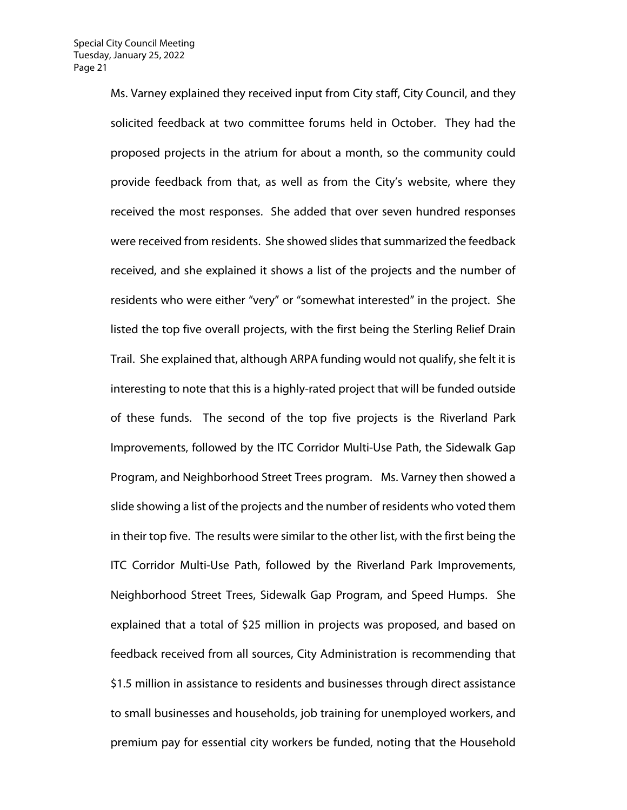Ms. Varney explained they received input from City staff, City Council, and they solicited feedback at two committee forums held in October. They had the proposed projects in the atrium for about a month, so the community could provide feedback from that, as well as from the City's website, where they received the most responses. She added that over seven hundred responses were received from residents. She showed slides that summarized the feedback received, and she explained it shows a list of the projects and the number of residents who were either "very" or "somewhat interested" in the project. She listed the top five overall projects, with the first being the Sterling Relief Drain Trail. She explained that, although ARPA funding would not qualify, she felt it is interesting to note that this is a highly-rated project that will be funded outside of these funds. The second of the top five projects is the Riverland Park Improvements, followed by the ITC Corridor Multi-Use Path, the Sidewalk Gap Program, and Neighborhood Street Trees program. Ms. Varney then showed a slide showing a list of the projects and the number of residents who voted them in their top five. The results were similar to the other list, with the first being the ITC Corridor Multi-Use Path, followed by the Riverland Park Improvements, Neighborhood Street Trees, Sidewalk Gap Program, and Speed Humps. She explained that a total of \$25 million in projects was proposed, and based on feedback received from all sources, City Administration is recommending that \$1.5 million in assistance to residents and businesses through direct assistance to small businesses and households, job training for unemployed workers, and premium pay for essential city workers be funded, noting that the Household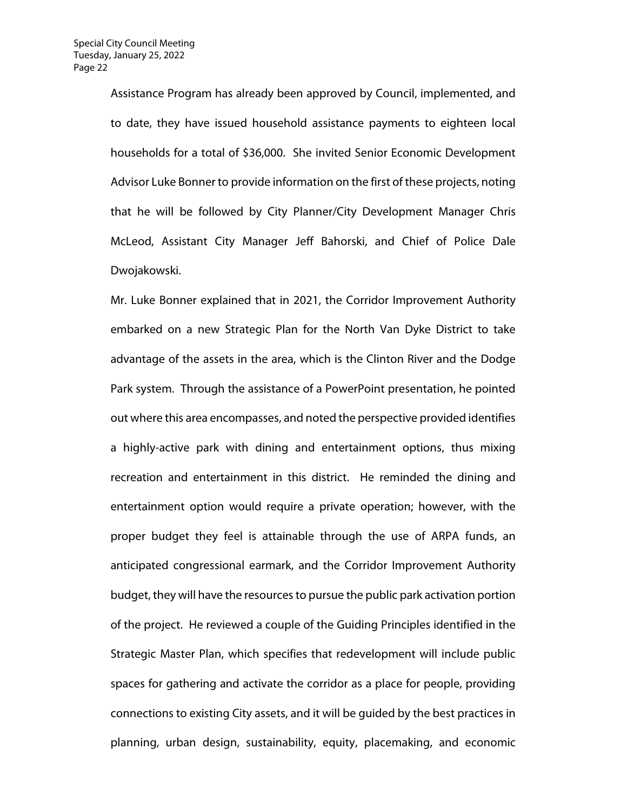Assistance Program has already been approved by Council, implemented, and to date, they have issued household assistance payments to eighteen local households for a total of \$36,000. She invited Senior Economic Development Advisor Luke Bonner to provide information on the first of these projects, noting that he will be followed by City Planner/City Development Manager Chris McLeod, Assistant City Manager Jeff Bahorski, and Chief of Police Dale Dwojakowski.

Mr. Luke Bonner explained that in 2021, the Corridor Improvement Authority embarked on a new Strategic Plan for the North Van Dyke District to take advantage of the assets in the area, which is the Clinton River and the Dodge Park system. Through the assistance of a PowerPoint presentation, he pointed out where this area encompasses, and noted the perspective provided identifies a highly-active park with dining and entertainment options, thus mixing recreation and entertainment in this district. He reminded the dining and entertainment option would require a private operation; however, with the proper budget they feel is attainable through the use of ARPA funds, an anticipated congressional earmark, and the Corridor Improvement Authority budget, they will have the resources to pursue the public park activation portion of the project. He reviewed a couple of the Guiding Principles identified in the Strategic Master Plan, which specifies that redevelopment will include public spaces for gathering and activate the corridor as a place for people, providing connections to existing City assets, and it will be guided by the best practices in planning, urban design, sustainability, equity, placemaking, and economic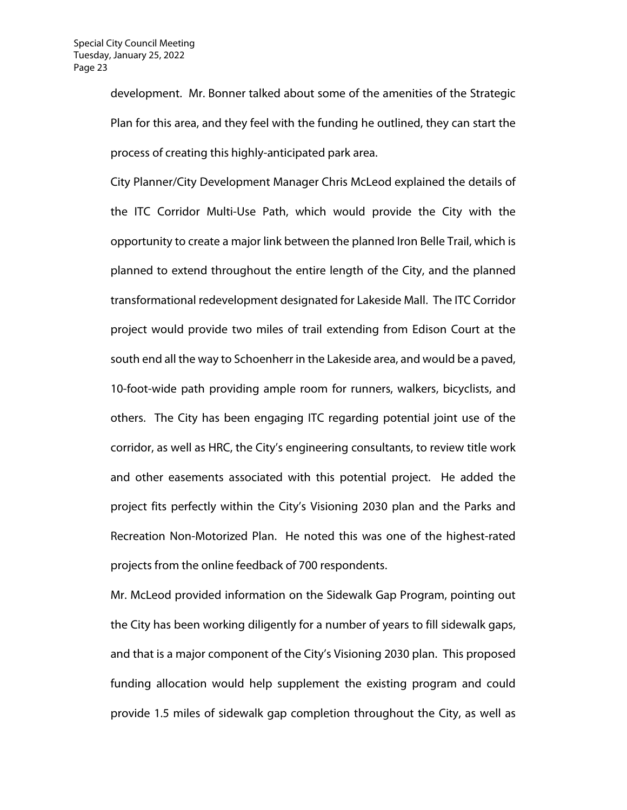development. Mr. Bonner talked about some of the amenities of the Strategic Plan for this area, and they feel with the funding he outlined, they can start the process of creating this highly-anticipated park area.

City Planner/City Development Manager Chris McLeod explained the details of the ITC Corridor Multi-Use Path, which would provide the City with the opportunity to create a major link between the planned Iron Belle Trail, which is planned to extend throughout the entire length of the City, and the planned transformational redevelopment designated for Lakeside Mall. The ITC Corridor project would provide two miles of trail extending from Edison Court at the south end all the way to Schoenherr in the Lakeside area, and would be a paved, 10-foot-wide path providing ample room for runners, walkers, bicyclists, and others. The City has been engaging ITC regarding potential joint use of the corridor, as well as HRC, the City's engineering consultants, to review title work and other easements associated with this potential project. He added the project fits perfectly within the City's Visioning 2030 plan and the Parks and Recreation Non-Motorized Plan. He noted this was one of the highest-rated projects from the online feedback of 700 respondents.

Mr. McLeod provided information on the Sidewalk Gap Program, pointing out the City has been working diligently for a number of years to fill sidewalk gaps, and that is a major component of the City's Visioning 2030 plan. This proposed funding allocation would help supplement the existing program and could provide 1.5 miles of sidewalk gap completion throughout the City, as well as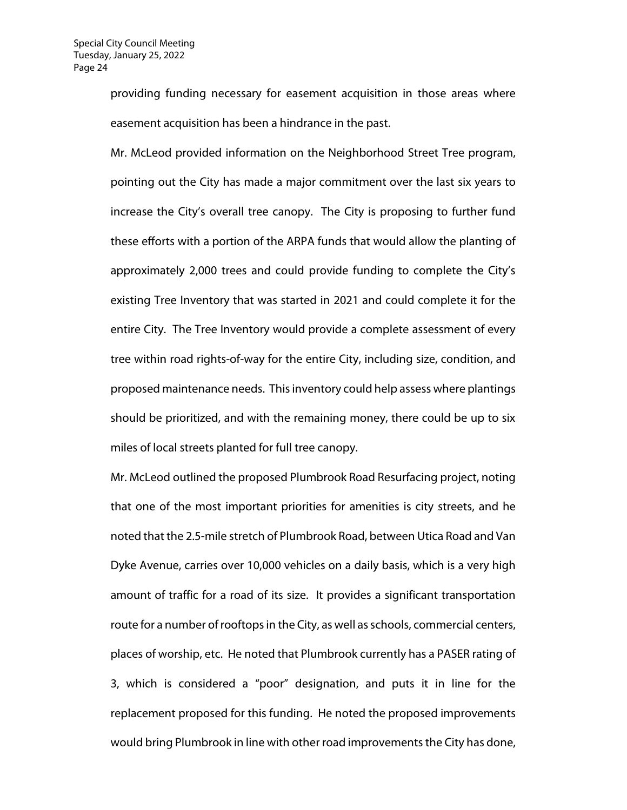providing funding necessary for easement acquisition in those areas where easement acquisition has been a hindrance in the past.

Mr. McLeod provided information on the Neighborhood Street Tree program, pointing out the City has made a major commitment over the last six years to increase the City's overall tree canopy. The City is proposing to further fund these efforts with a portion of the ARPA funds that would allow the planting of approximately 2,000 trees and could provide funding to complete the City's existing Tree Inventory that was started in 2021 and could complete it for the entire City. The Tree Inventory would provide a complete assessment of every tree within road rights-of-way for the entire City, including size, condition, and proposed maintenance needs. This inventory could help assess where plantings should be prioritized, and with the remaining money, there could be up to six miles of local streets planted for full tree canopy.

Mr. McLeod outlined the proposed Plumbrook Road Resurfacing project, noting that one of the most important priorities for amenities is city streets, and he noted that the 2.5-mile stretch of Plumbrook Road, between Utica Road and Van Dyke Avenue, carries over 10,000 vehicles on a daily basis, which is a very high amount of traffic for a road of its size. It provides a significant transportation route for a number of rooftops in the City, as well as schools, commercial centers, places of worship, etc. He noted that Plumbrook currently has a PASER rating of 3, which is considered a "poor" designation, and puts it in line for the replacement proposed for this funding. He noted the proposed improvements would bring Plumbrook in line with other road improvements the City has done,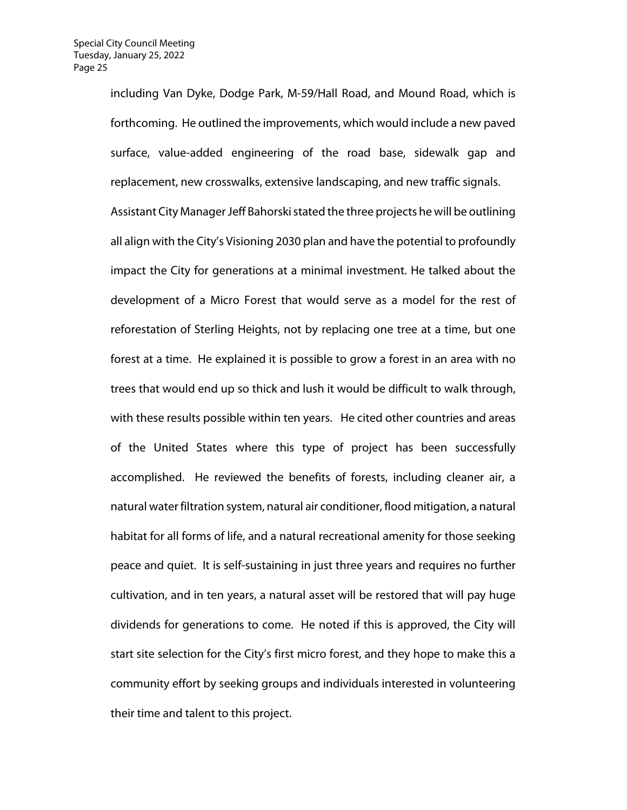including Van Dyke, Dodge Park, M-59/Hall Road, and Mound Road, which is forthcoming. He outlined the improvements, which would include a new paved surface, value-added engineering of the road base, sidewalk gap and replacement, new crosswalks, extensive landscaping, and new traffic signals.

Assistant City Manager Jeff Bahorski stated the three projects he will be outlining all align with the City's Visioning 2030 plan and have the potential to profoundly impact the City for generations at a minimal investment. He talked about the development of a Micro Forest that would serve as a model for the rest of reforestation of Sterling Heights, not by replacing one tree at a time, but one forest at a time. He explained it is possible to grow a forest in an area with no trees that would end up so thick and lush it would be difficult to walk through, with these results possible within ten years. He cited other countries and areas of the United States where this type of project has been successfully accomplished. He reviewed the benefits of forests, including cleaner air, a natural water filtration system, natural air conditioner, flood mitigation, a natural habitat for all forms of life, and a natural recreational amenity for those seeking peace and quiet. It is self-sustaining in just three years and requires no further cultivation, and in ten years, a natural asset will be restored that will pay huge dividends for generations to come. He noted if this is approved, the City will start site selection for the City's first micro forest, and they hope to make this a community effort by seeking groups and individuals interested in volunteering their time and talent to this project.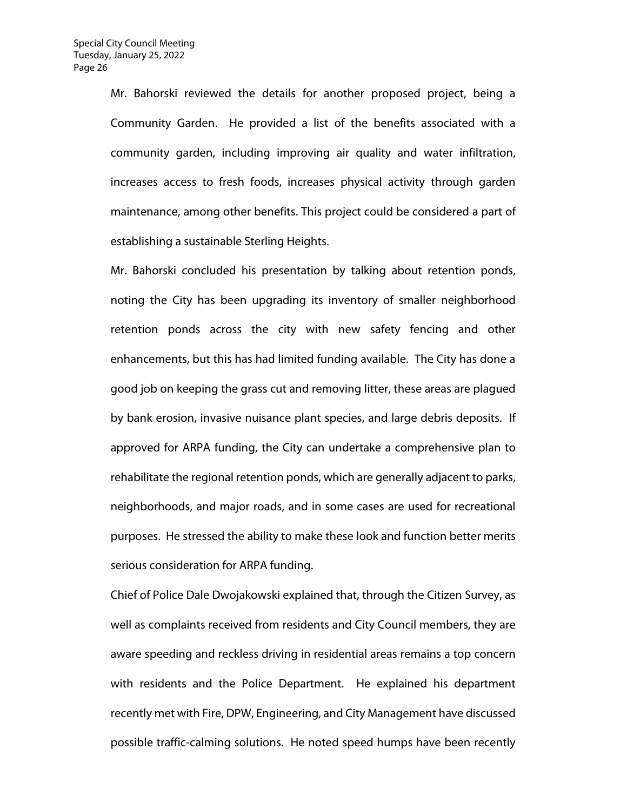Mr. Bahorski reviewed the details for another proposed project, being a Community Garden. He provided a list of the benefits associated with a community garden, including improving air quality and water infiltration, increases access to fresh foods, increases physical activity through garden maintenance, among other benefits. This project could be considered a part of establishing a sustainable Sterling Heights.

Mr. Bahorski concluded his presentation by talking about retention ponds, noting the City has been upgrading its inventory of smaller neighborhood retention ponds across the city with new safety fencing and other enhancements, but this has had limited funding available. The City has done a good job on keeping the grass cut and removing litter, these areas are plagued by bank erosion, invasive nuisance plant species, and large debris deposits. If approved for ARPA funding, the City can undertake a comprehensive plan to rehabilitate the regional retention ponds, which are generally adjacent to parks, neighborhoods, and major roads, and in some cases are used for recreational purposes. He stressed the ability to make these look and function better merits serious consideration for ARPA funding.

Chief of Police Dale Dwojakowski explained that, through the Citizen Survey, as well as complaints received from residents and City Council members, they are aware speeding and reckless driving in residential areas remains a top concern with residents and the Police Department. He explained his department recently met with Fire, DPW, Engineering, and City Management have discussed possible traffic-calming solutions. He noted speed humps have been recently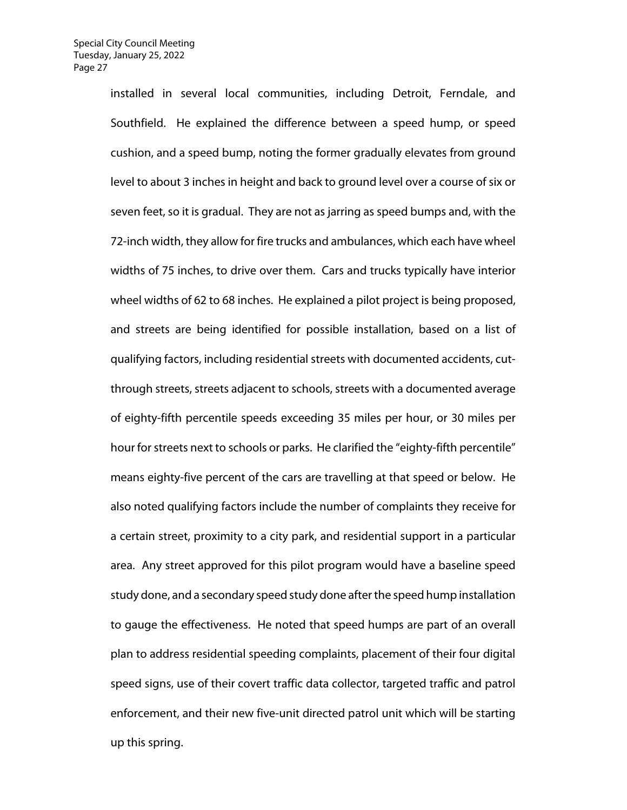installed in several local communities, including Detroit, Ferndale, and Southfield. He explained the difference between a speed hump, or speed cushion, and a speed bump, noting the former gradually elevates from ground level to about 3 inches in height and back to ground level over a course of six or seven feet, so it is gradual. They are not as jarring as speed bumps and, with the 72-inch width, they allow for fire trucks and ambulances, which each have wheel widths of 75 inches, to drive over them. Cars and trucks typically have interior wheel widths of 62 to 68 inches. He explained a pilot project is being proposed, and streets are being identified for possible installation, based on a list of qualifying factors, including residential streets with documented accidents, cutthrough streets, streets adjacent to schools, streets with a documented average of eighty-fifth percentile speeds exceeding 35 miles per hour, or 30 miles per hour for streets next to schools or parks. He clarified the "eighty-fifth percentile" means eighty-five percent of the cars are travelling at that speed or below. He also noted qualifying factors include the number of complaints they receive for a certain street, proximity to a city park, and residential support in a particular area. Any street approved for this pilot program would have a baseline speed study done, and a secondary speed study done after the speed hump installation to gauge the effectiveness. He noted that speed humps are part of an overall plan to address residential speeding complaints, placement of their four digital speed signs, use of their covert traffic data collector, targeted traffic and patrol enforcement, and their new five-unit directed patrol unit which will be starting up this spring.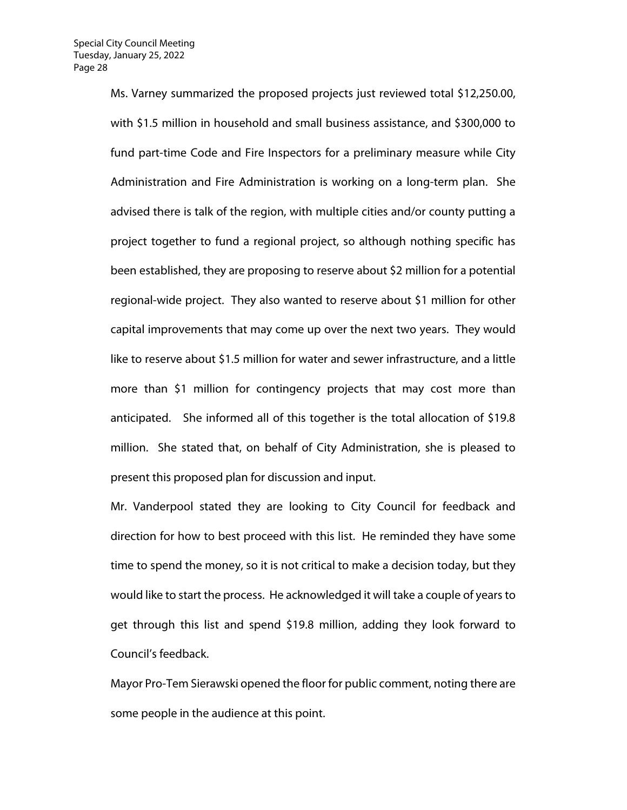Ms. Varney summarized the proposed projects just reviewed total \$12,250.00, with \$1.5 million in household and small business assistance, and \$300,000 to fund part-time Code and Fire Inspectors for a preliminary measure while City Administration and Fire Administration is working on a long-term plan. She advised there is talk of the region, with multiple cities and/or county putting a project together to fund a regional project, so although nothing specific has been established, they are proposing to reserve about \$2 million for a potential regional-wide project. They also wanted to reserve about \$1 million for other capital improvements that may come up over the next two years. They would like to reserve about \$1.5 million for water and sewer infrastructure, and a little more than \$1 million for contingency projects that may cost more than anticipated. She informed all of this together is the total allocation of \$19.8 million. She stated that, on behalf of City Administration, she is pleased to present this proposed plan for discussion and input.

Mr. Vanderpool stated they are looking to City Council for feedback and direction for how to best proceed with this list. He reminded they have some time to spend the money, so it is not critical to make a decision today, but they would like to start the process. He acknowledged it will take a couple of years to get through this list and spend \$19.8 million, adding they look forward to Council's feedback.

Mayor Pro-Tem Sierawski opened the floor for public comment, noting there are some people in the audience at this point.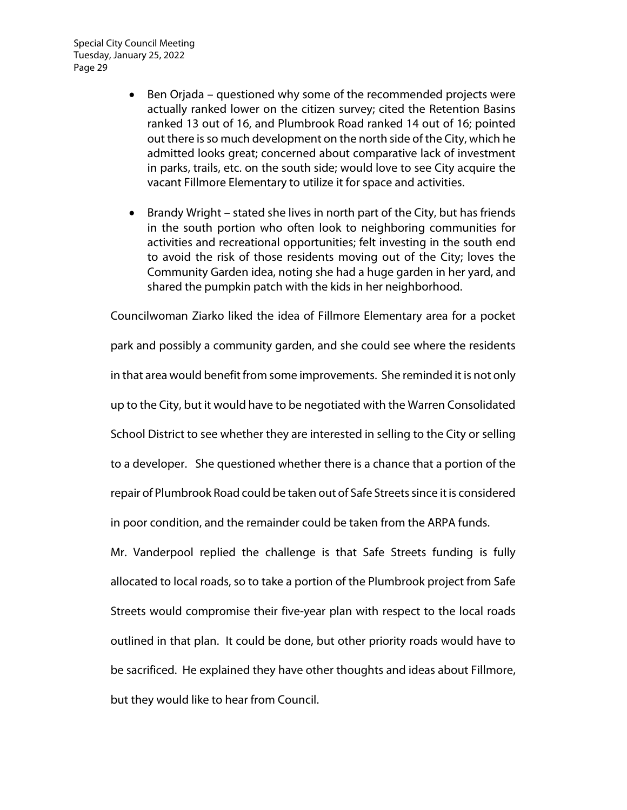Special City Council Meeting Tuesday, January 25, 2022 Page 29

- Ben Orjada questioned why some of the recommended projects were actually ranked lower on the citizen survey; cited the Retention Basins ranked 13 out of 16, and Plumbrook Road ranked 14 out of 16; pointed out there is so much development on the north side of the City, which he admitted looks great; concerned about comparative lack of investment in parks, trails, etc. on the south side; would love to see City acquire the vacant Fillmore Elementary to utilize it for space and activities.
- Brandy Wright stated she lives in north part of the City, but has friends in the south portion who often look to neighboring communities for activities and recreational opportunities; felt investing in the south end to avoid the risk of those residents moving out of the City; loves the Community Garden idea, noting she had a huge garden in her yard, and shared the pumpkin patch with the kids in her neighborhood.

Councilwoman Ziarko liked the idea of Fillmore Elementary area for a pocket park and possibly a community garden, and she could see where the residents in that area would benefit from some improvements. She reminded it is not only up to the City, but it would have to be negotiated with the Warren Consolidated School District to see whether they are interested in selling to the City or selling to a developer. She questioned whether there is a chance that a portion of the repair of Plumbrook Road could be taken out of Safe Streets since it is considered in poor condition, and the remainder could be taken from the ARPA funds.

Mr. Vanderpool replied the challenge is that Safe Streets funding is fully allocated to local roads, so to take a portion of the Plumbrook project from Safe Streets would compromise their five-year plan with respect to the local roads outlined in that plan. It could be done, but other priority roads would have to be sacrificed. He explained they have other thoughts and ideas about Fillmore, but they would like to hear from Council.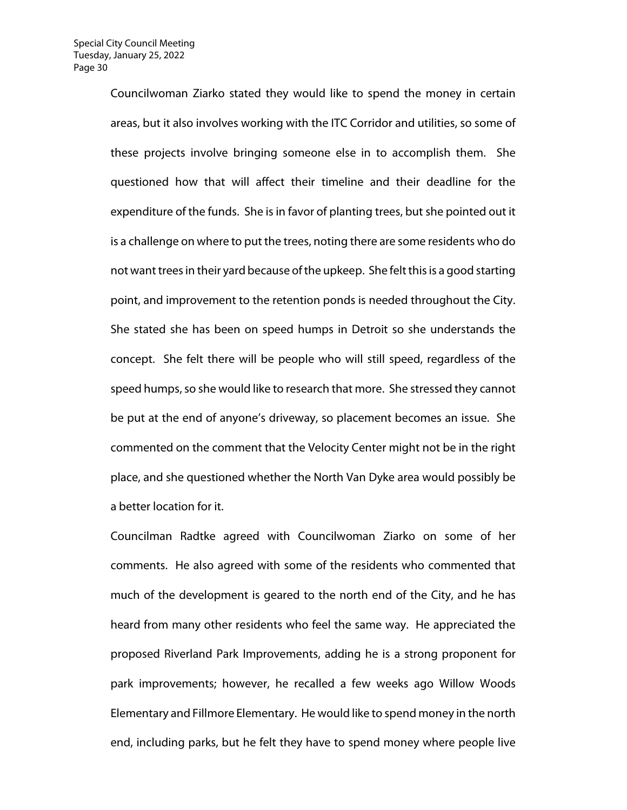Councilwoman Ziarko stated they would like to spend the money in certain areas, but it also involves working with the ITC Corridor and utilities, so some of these projects involve bringing someone else in to accomplish them. She questioned how that will affect their timeline and their deadline for the expenditure of the funds. She is in favor of planting trees, but she pointed out it is a challenge on where to put the trees, noting there are some residents who do not want trees in their yard because of the upkeep. She felt this is a good starting point, and improvement to the retention ponds is needed throughout the City. She stated she has been on speed humps in Detroit so she understands the concept. She felt there will be people who will still speed, regardless of the speed humps, so she would like to research that more. She stressed they cannot be put at the end of anyone's driveway, so placement becomes an issue. She commented on the comment that the Velocity Center might not be in the right place, and she questioned whether the North Van Dyke area would possibly be a better location for it.

Councilman Radtke agreed with Councilwoman Ziarko on some of her comments. He also agreed with some of the residents who commented that much of the development is geared to the north end of the City, and he has heard from many other residents who feel the same way. He appreciated the proposed Riverland Park Improvements, adding he is a strong proponent for park improvements; however, he recalled a few weeks ago Willow Woods Elementary and Fillmore Elementary. He would like to spend money in the north end, including parks, but he felt they have to spend money where people live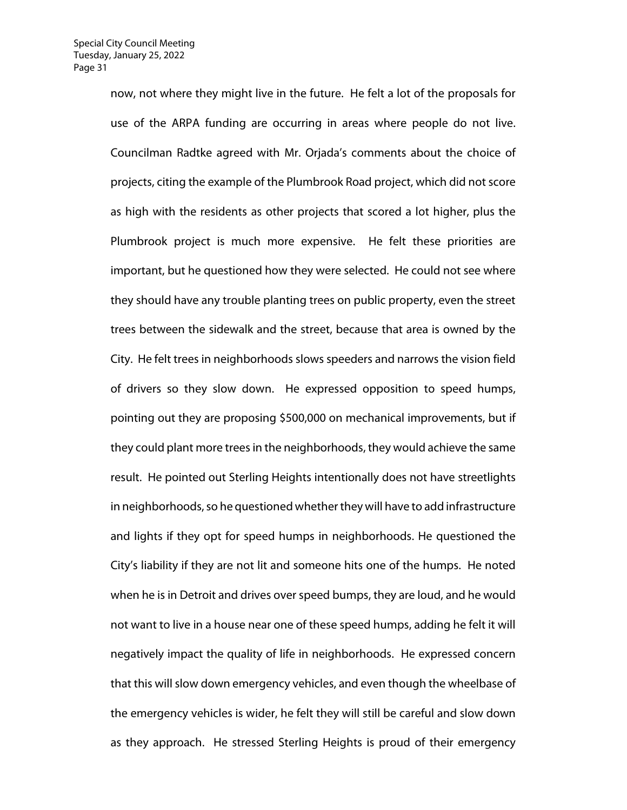now, not where they might live in the future. He felt a lot of the proposals for use of the ARPA funding are occurring in areas where people do not live. Councilman Radtke agreed with Mr. Orjada's comments about the choice of projects, citing the example of the Plumbrook Road project, which did not score as high with the residents as other projects that scored a lot higher, plus the Plumbrook project is much more expensive. He felt these priorities are important, but he questioned how they were selected. He could not see where they should have any trouble planting trees on public property, even the street trees between the sidewalk and the street, because that area is owned by the City. He felt trees in neighborhoods slows speeders and narrows the vision field of drivers so they slow down. He expressed opposition to speed humps, pointing out they are proposing \$500,000 on mechanical improvements, but if they could plant more trees in the neighborhoods, they would achieve the same result. He pointed out Sterling Heights intentionally does not have streetlights in neighborhoods, so he questioned whether they will have to add infrastructure and lights if they opt for speed humps in neighborhoods. He questioned the City's liability if they are not lit and someone hits one of the humps. He noted when he is in Detroit and drives over speed bumps, they are loud, and he would not want to live in a house near one of these speed humps, adding he felt it will negatively impact the quality of life in neighborhoods. He expressed concern that this will slow down emergency vehicles, and even though the wheelbase of the emergency vehicles is wider, he felt they will still be careful and slow down as they approach. He stressed Sterling Heights is proud of their emergency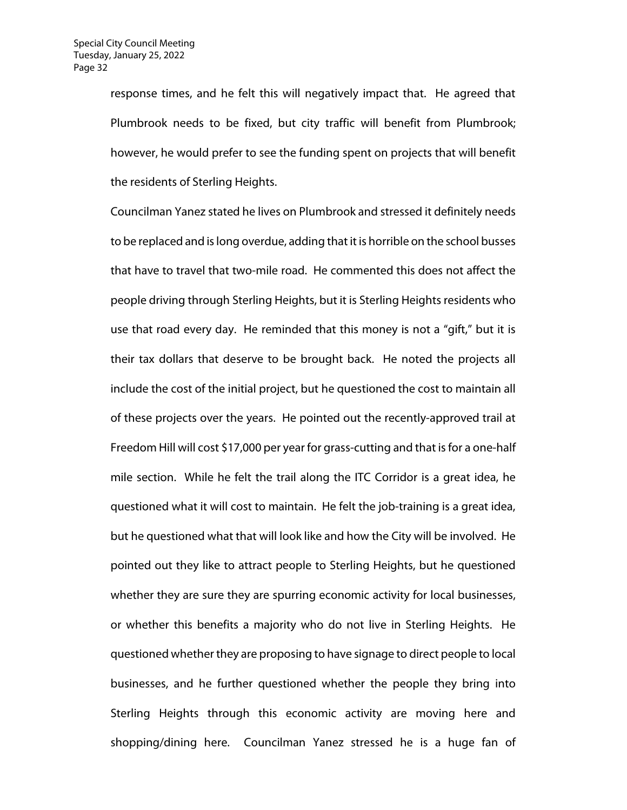response times, and he felt this will negatively impact that. He agreed that Plumbrook needs to be fixed, but city traffic will benefit from Plumbrook; however, he would prefer to see the funding spent on projects that will benefit the residents of Sterling Heights.

Councilman Yanez stated he lives on Plumbrook and stressed it definitely needs to be replaced and is long overdue, adding that it is horrible on the school busses that have to travel that two-mile road. He commented this does not affect the people driving through Sterling Heights, but it is Sterling Heights residents who use that road every day. He reminded that this money is not a "gift," but it is their tax dollars that deserve to be brought back. He noted the projects all include the cost of the initial project, but he questioned the cost to maintain all of these projects over the years. He pointed out the recently-approved trail at Freedom Hill will cost \$17,000 per year for grass-cutting and that is for a one-half mile section. While he felt the trail along the ITC Corridor is a great idea, he questioned what it will cost to maintain. He felt the job-training is a great idea, but he questioned what that will look like and how the City will be involved. He pointed out they like to attract people to Sterling Heights, but he questioned whether they are sure they are spurring economic activity for local businesses, or whether this benefits a majority who do not live in Sterling Heights. He questioned whether they are proposing to have signage to direct people to local businesses, and he further questioned whether the people they bring into Sterling Heights through this economic activity are moving here and shopping/dining here. Councilman Yanez stressed he is a huge fan of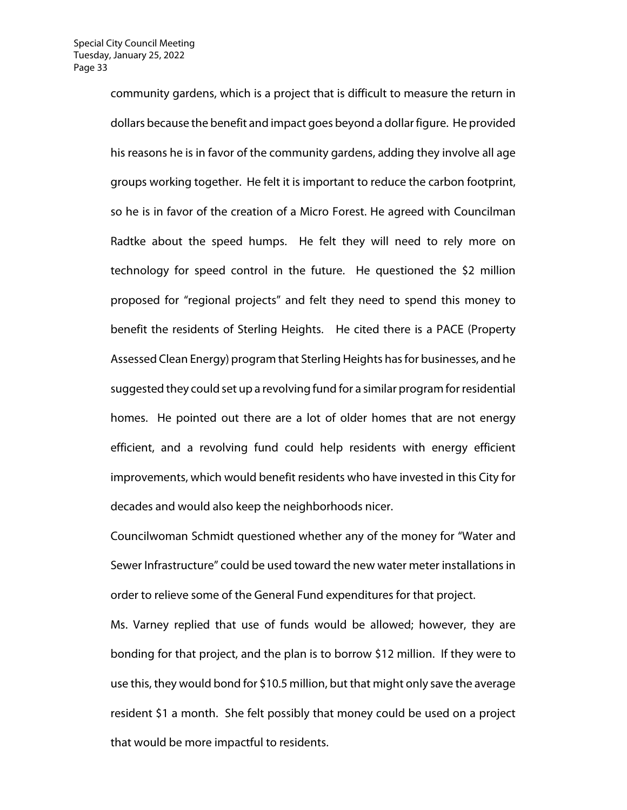community gardens, which is a project that is difficult to measure the return in dollars because the benefit and impact goes beyond a dollar figure. He provided his reasons he is in favor of the community gardens, adding they involve all age groups working together. He felt it is important to reduce the carbon footprint, so he is in favor of the creation of a Micro Forest. He agreed with Councilman Radtke about the speed humps. He felt they will need to rely more on technology for speed control in the future. He questioned the \$2 million proposed for "regional projects" and felt they need to spend this money to benefit the residents of Sterling Heights. He cited there is a PACE (Property Assessed Clean Energy) program that Sterling Heights has for businesses, and he suggested they could set up a revolving fund for a similar program for residential homes. He pointed out there are a lot of older homes that are not energy efficient, and a revolving fund could help residents with energy efficient improvements, which would benefit residents who have invested in this City for decades and would also keep the neighborhoods nicer.

Councilwoman Schmidt questioned whether any of the money for "Water and Sewer Infrastructure" could be used toward the new water meter installations in order to relieve some of the General Fund expenditures for that project.

Ms. Varney replied that use of funds would be allowed; however, they are bonding for that project, and the plan is to borrow \$12 million. If they were to use this, they would bond for \$10.5 million, but that might only save the average resident \$1 a month. She felt possibly that money could be used on a project that would be more impactful to residents.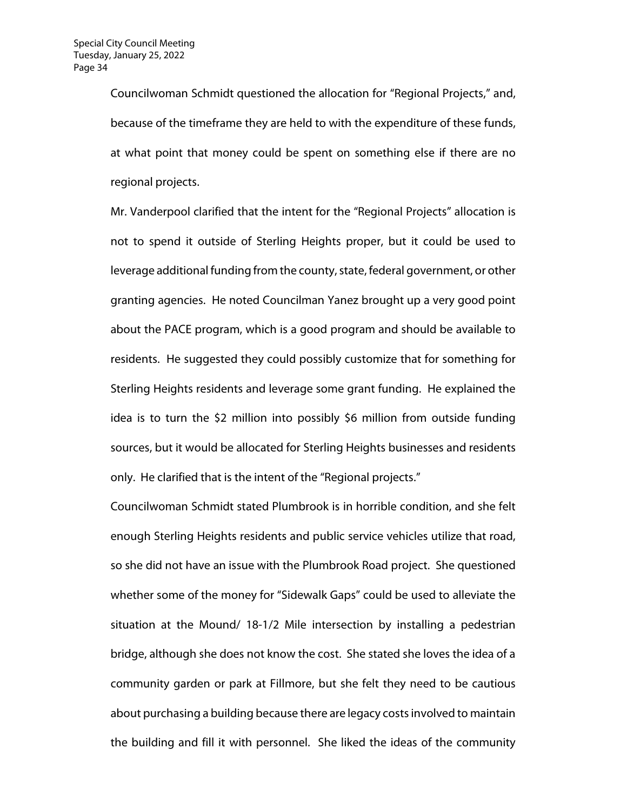Councilwoman Schmidt questioned the allocation for "Regional Projects," and, because of the timeframe they are held to with the expenditure of these funds, at what point that money could be spent on something else if there are no regional projects.

Mr. Vanderpool clarified that the intent for the "Regional Projects" allocation is not to spend it outside of Sterling Heights proper, but it could be used to leverage additional funding from the county, state, federal government, or other granting agencies. He noted Councilman Yanez brought up a very good point about the PACE program, which is a good program and should be available to residents. He suggested they could possibly customize that for something for Sterling Heights residents and leverage some grant funding. He explained the idea is to turn the \$2 million into possibly \$6 million from outside funding sources, but it would be allocated for Sterling Heights businesses and residents only. He clarified that is the intent of the "Regional projects."

Councilwoman Schmidt stated Plumbrook is in horrible condition, and she felt enough Sterling Heights residents and public service vehicles utilize that road, so she did not have an issue with the Plumbrook Road project. She questioned whether some of the money for "Sidewalk Gaps" could be used to alleviate the situation at the Mound/ 18-1/2 Mile intersection by installing a pedestrian bridge, although she does not know the cost. She stated she loves the idea of a community garden or park at Fillmore, but she felt they need to be cautious about purchasing a building because there are legacy costs involved to maintain the building and fill it with personnel. She liked the ideas of the community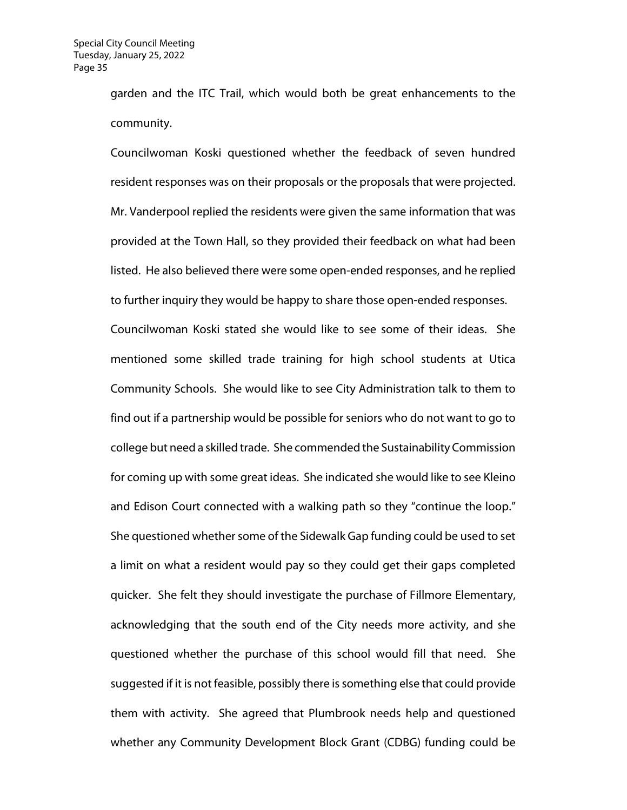garden and the ITC Trail, which would both be great enhancements to the community.

Councilwoman Koski questioned whether the feedback of seven hundred resident responses was on their proposals or the proposals that were projected. Mr. Vanderpool replied the residents were given the same information that was provided at the Town Hall, so they provided their feedback on what had been listed. He also believed there were some open-ended responses, and he replied to further inquiry they would be happy to share those open-ended responses. Councilwoman Koski stated she would like to see some of their ideas. She mentioned some skilled trade training for high school students at Utica Community Schools. She would like to see City Administration talk to them to find out if a partnership would be possible for seniors who do not want to go to college but need a skilled trade. She commended the Sustainability Commission for coming up with some great ideas. She indicated she would like to see Kleino and Edison Court connected with a walking path so they "continue the loop." She questioned whether some of the Sidewalk Gap funding could be used to set a limit on what a resident would pay so they could get their gaps completed quicker. She felt they should investigate the purchase of Fillmore Elementary, acknowledging that the south end of the City needs more activity, and she questioned whether the purchase of this school would fill that need. She suggested if it is not feasible, possibly there is something else that could provide them with activity. She agreed that Plumbrook needs help and questioned whether any Community Development Block Grant (CDBG) funding could be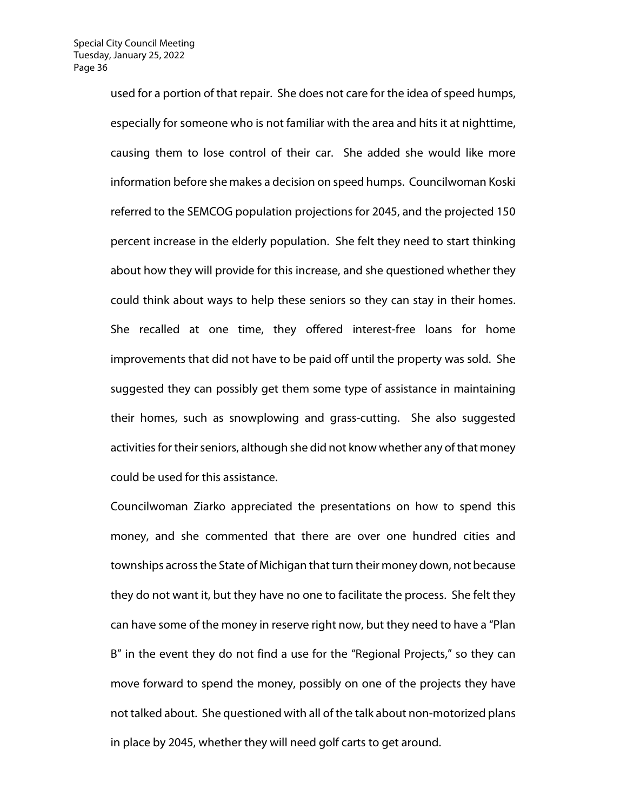used for a portion of that repair. She does not care for the idea of speed humps, especially for someone who is not familiar with the area and hits it at nighttime, causing them to lose control of their car. She added she would like more information before she makes a decision on speed humps. Councilwoman Koski referred to the SEMCOG population projections for 2045, and the projected 150 percent increase in the elderly population. She felt they need to start thinking about how they will provide for this increase, and she questioned whether they could think about ways to help these seniors so they can stay in their homes. She recalled at one time, they offered interest-free loans for home improvements that did not have to be paid off until the property was sold. She suggested they can possibly get them some type of assistance in maintaining their homes, such as snowplowing and grass-cutting. She also suggested activities for their seniors, although she did not know whether any of that money could be used for this assistance.

Councilwoman Ziarko appreciated the presentations on how to spend this money, and she commented that there are over one hundred cities and townships across the State of Michigan that turn their money down, not because they do not want it, but they have no one to facilitate the process. She felt they can have some of the money in reserve right now, but they need to have a "Plan B" in the event they do not find a use for the "Regional Projects," so they can move forward to spend the money, possibly on one of the projects they have not talked about. She questioned with all of the talk about non-motorized plans in place by 2045, whether they will need golf carts to get around.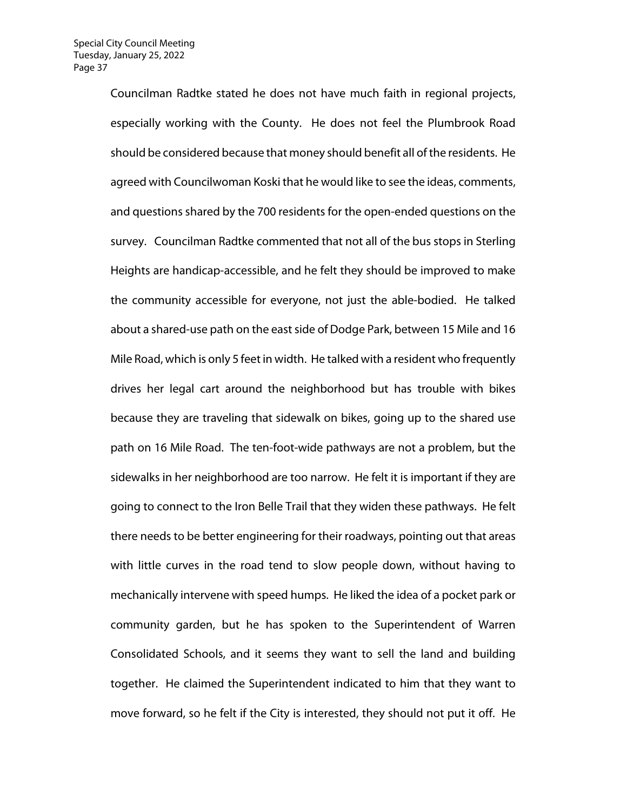Councilman Radtke stated he does not have much faith in regional projects, especially working with the County. He does not feel the Plumbrook Road should be considered because that money should benefit all of the residents. He agreed with Councilwoman Koski that he would like to see the ideas, comments, and questions shared by the 700 residents for the open-ended questions on the survey. Councilman Radtke commented that not all of the bus stops in Sterling Heights are handicap-accessible, and he felt they should be improved to make the community accessible for everyone, not just the able-bodied. He talked about a shared-use path on the east side of Dodge Park, between 15 Mile and 16 Mile Road, which is only 5 feet in width. He talked with a resident who frequently drives her legal cart around the neighborhood but has trouble with bikes because they are traveling that sidewalk on bikes, going up to the shared use path on 16 Mile Road. The ten-foot-wide pathways are not a problem, but the sidewalks in her neighborhood are too narrow. He felt it is important if they are going to connect to the Iron Belle Trail that they widen these pathways. He felt there needs to be better engineering for their roadways, pointing out that areas with little curves in the road tend to slow people down, without having to mechanically intervene with speed humps. He liked the idea of a pocket park or community garden, but he has spoken to the Superintendent of Warren Consolidated Schools, and it seems they want to sell the land and building together. He claimed the Superintendent indicated to him that they want to move forward, so he felt if the City is interested, they should not put it off. He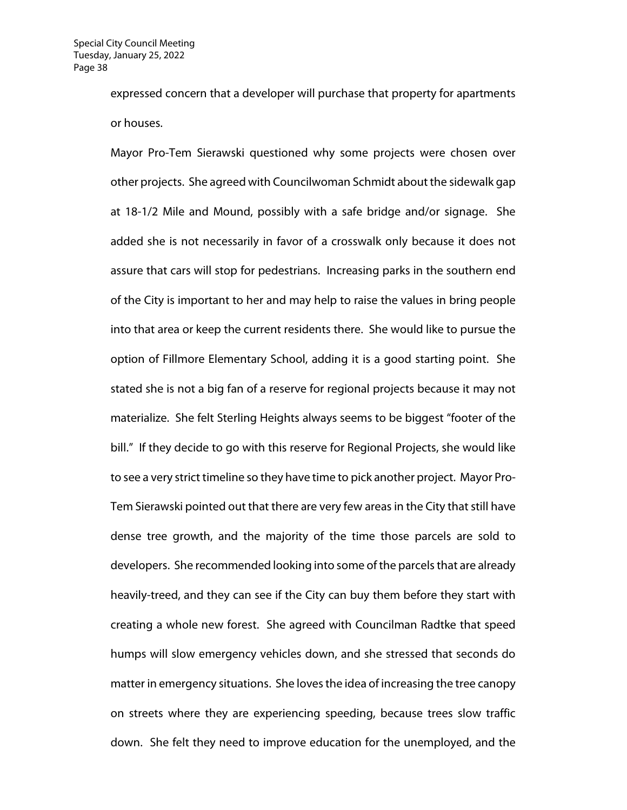expressed concern that a developer will purchase that property for apartments or houses.

Mayor Pro-Tem Sierawski questioned why some projects were chosen over other projects. She agreed with Councilwoman Schmidt about the sidewalk gap at 18-1/2 Mile and Mound, possibly with a safe bridge and/or signage. She added she is not necessarily in favor of a crosswalk only because it does not assure that cars will stop for pedestrians. Increasing parks in the southern end of the City is important to her and may help to raise the values in bring people into that area or keep the current residents there. She would like to pursue the option of Fillmore Elementary School, adding it is a good starting point. She stated she is not a big fan of a reserve for regional projects because it may not materialize. She felt Sterling Heights always seems to be biggest "footer of the bill." If they decide to go with this reserve for Regional Projects, she would like to see a very strict timeline so they have time to pick another project. Mayor Pro-Tem Sierawski pointed out that there are very few areas in the City that still have dense tree growth, and the majority of the time those parcels are sold to developers. She recommended looking into some of the parcels that are already heavily-treed, and they can see if the City can buy them before they start with creating a whole new forest. She agreed with Councilman Radtke that speed humps will slow emergency vehicles down, and she stressed that seconds do matter in emergency situations. She loves the idea of increasing the tree canopy on streets where they are experiencing speeding, because trees slow traffic down. She felt they need to improve education for the unemployed, and the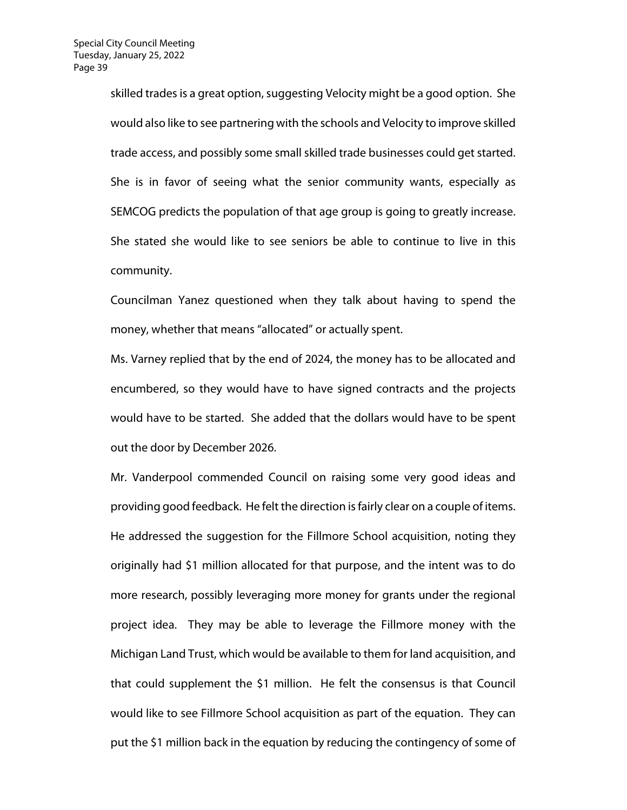skilled trades is a great option, suggesting Velocity might be a good option. She would also like to see partnering with the schools and Velocity to improve skilled trade access, and possibly some small skilled trade businesses could get started. She is in favor of seeing what the senior community wants, especially as SEMCOG predicts the population of that age group is going to greatly increase. She stated she would like to see seniors be able to continue to live in this community.

Councilman Yanez questioned when they talk about having to spend the money, whether that means "allocated" or actually spent.

Ms. Varney replied that by the end of 2024, the money has to be allocated and encumbered, so they would have to have signed contracts and the projects would have to be started. She added that the dollars would have to be spent out the door by December 2026.

Mr. Vanderpool commended Council on raising some very good ideas and providing good feedback. He felt the direction is fairly clear on a couple of items. He addressed the suggestion for the Fillmore School acquisition, noting they originally had \$1 million allocated for that purpose, and the intent was to do more research, possibly leveraging more money for grants under the regional project idea. They may be able to leverage the Fillmore money with the Michigan Land Trust, which would be available to them for land acquisition, and that could supplement the \$1 million. He felt the consensus is that Council would like to see Fillmore School acquisition as part of the equation. They can put the \$1 million back in the equation by reducing the contingency of some of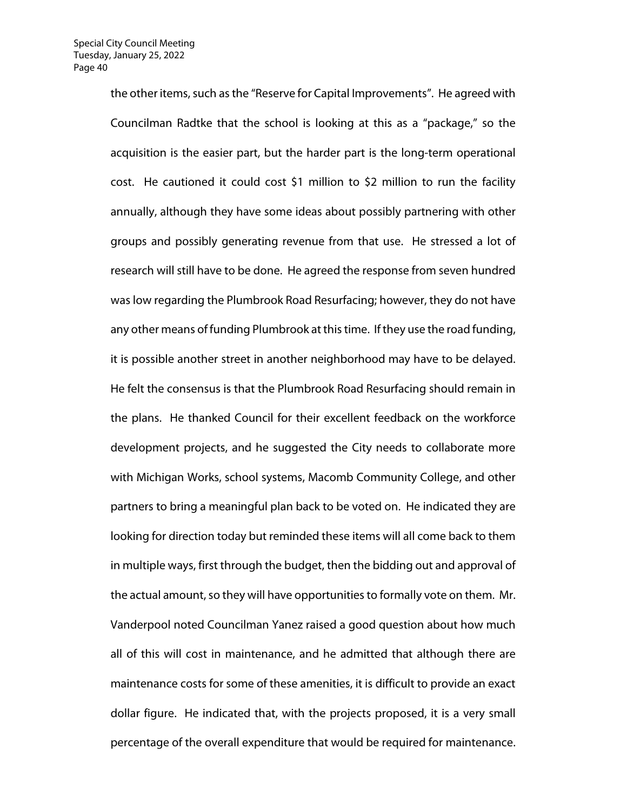the other items, such as the "Reserve for Capital Improvements". He agreed with Councilman Radtke that the school is looking at this as a "package," so the acquisition is the easier part, but the harder part is the long-term operational cost. He cautioned it could cost \$1 million to \$2 million to run the facility annually, although they have some ideas about possibly partnering with other groups and possibly generating revenue from that use. He stressed a lot of research will still have to be done. He agreed the response from seven hundred was low regarding the Plumbrook Road Resurfacing; however, they do not have any other means of funding Plumbrook at this time. If they use the road funding, it is possible another street in another neighborhood may have to be delayed. He felt the consensus is that the Plumbrook Road Resurfacing should remain in the plans. He thanked Council for their excellent feedback on the workforce development projects, and he suggested the City needs to collaborate more with Michigan Works, school systems, Macomb Community College, and other partners to bring a meaningful plan back to be voted on. He indicated they are looking for direction today but reminded these items will all come back to them in multiple ways, first through the budget, then the bidding out and approval of the actual amount, so they will have opportunities to formally vote on them. Mr. Vanderpool noted Councilman Yanez raised a good question about how much all of this will cost in maintenance, and he admitted that although there are maintenance costs for some of these amenities, it is difficult to provide an exact dollar figure. He indicated that, with the projects proposed, it is a very small percentage of the overall expenditure that would be required for maintenance.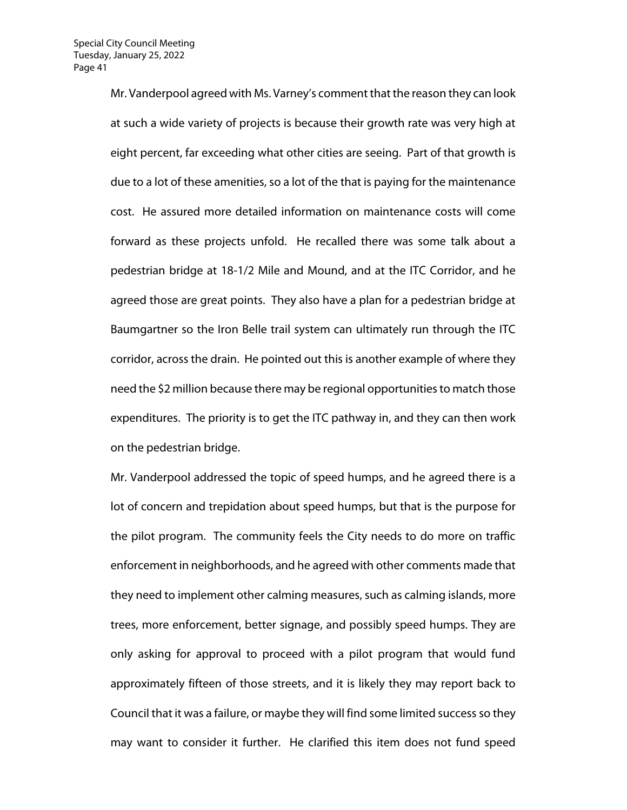Mr. Vanderpool agreed with Ms. Varney's comment that the reason they can look at such a wide variety of projects is because their growth rate was very high at eight percent, far exceeding what other cities are seeing. Part of that growth is due to a lot of these amenities, so a lot of the that is paying for the maintenance cost. He assured more detailed information on maintenance costs will come forward as these projects unfold. He recalled there was some talk about a pedestrian bridge at 18-1/2 Mile and Mound, and at the ITC Corridor, and he agreed those are great points. They also have a plan for a pedestrian bridge at Baumgartner so the Iron Belle trail system can ultimately run through the ITC corridor, across the drain. He pointed out this is another example of where they need the \$2 million because there may be regional opportunities to match those expenditures. The priority is to get the ITC pathway in, and they can then work on the pedestrian bridge.

Mr. Vanderpool addressed the topic of speed humps, and he agreed there is a lot of concern and trepidation about speed humps, but that is the purpose for the pilot program. The community feels the City needs to do more on traffic enforcement in neighborhoods, and he agreed with other comments made that they need to implement other calming measures, such as calming islands, more trees, more enforcement, better signage, and possibly speed humps. They are only asking for approval to proceed with a pilot program that would fund approximately fifteen of those streets, and it is likely they may report back to Council that it was a failure, or maybe they will find some limited success so they may want to consider it further. He clarified this item does not fund speed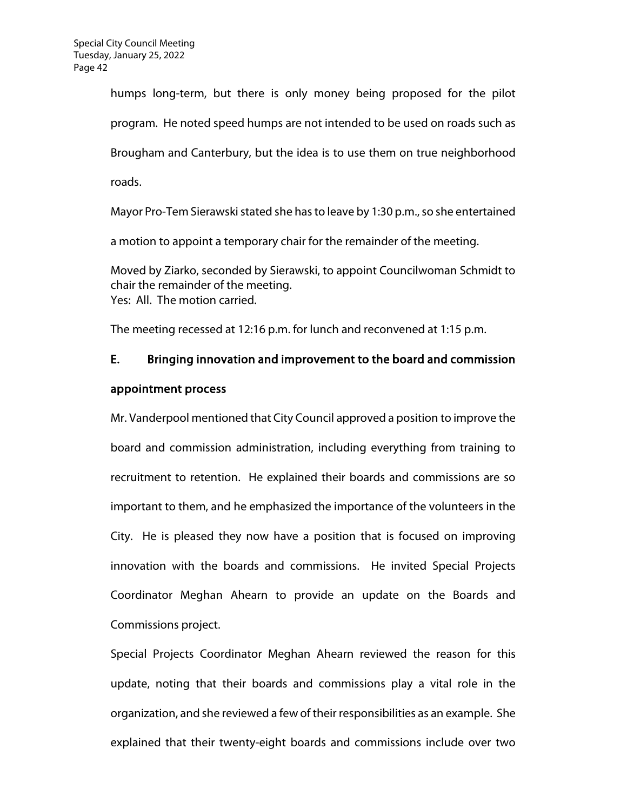humps long-term, but there is only money being proposed for the pilot program. He noted speed humps are not intended to be used on roads such as Brougham and Canterbury, but the idea is to use them on true neighborhood roads.

Mayor Pro-Tem Sierawski stated she has to leave by 1:30 p.m., so she entertained a motion to appoint a temporary chair for the remainder of the meeting.

Moved by Ziarko, seconded by Sierawski, to appoint Councilwoman Schmidt to chair the remainder of the meeting. Yes: All. The motion carried.

The meeting recessed at 12:16 p.m. for lunch and reconvened at 1:15 p.m.

# E. Bringing innovation and improvement to the board and commission

## appointment process

Mr. Vanderpool mentioned that City Council approved a position to improve the board and commission administration, including everything from training to recruitment to retention. He explained their boards and commissions are so important to them, and he emphasized the importance of the volunteers in the City. He is pleased they now have a position that is focused on improving innovation with the boards and commissions. He invited Special Projects Coordinator Meghan Ahearn to provide an update on the Boards and Commissions project.

Special Projects Coordinator Meghan Ahearn reviewed the reason for this update, noting that their boards and commissions play a vital role in the organization, and she reviewed a few of their responsibilities as an example. She explained that their twenty-eight boards and commissions include over two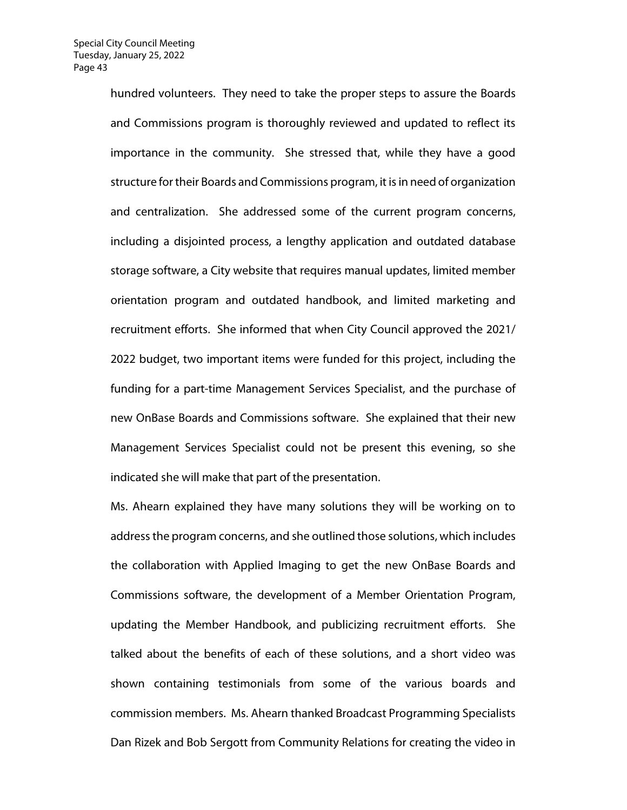hundred volunteers. They need to take the proper steps to assure the Boards and Commissions program is thoroughly reviewed and updated to reflect its importance in the community. She stressed that, while they have a good structure for their Boards and Commissions program, it is in need of organization and centralization. She addressed some of the current program concerns, including a disjointed process, a lengthy application and outdated database storage software, a City website that requires manual updates, limited member orientation program and outdated handbook, and limited marketing and recruitment efforts. She informed that when City Council approved the 2021/ 2022 budget, two important items were funded for this project, including the funding for a part-time Management Services Specialist, and the purchase of new OnBase Boards and Commissions software. She explained that their new Management Services Specialist could not be present this evening, so she indicated she will make that part of the presentation.

Ms. Ahearn explained they have many solutions they will be working on to address the program concerns, and she outlined those solutions, which includes the collaboration with Applied Imaging to get the new OnBase Boards and Commissions software, the development of a Member Orientation Program, updating the Member Handbook, and publicizing recruitment efforts. She talked about the benefits of each of these solutions, and a short video was shown containing testimonials from some of the various boards and commission members. Ms. Ahearn thanked Broadcast Programming Specialists Dan Rizek and Bob Sergott from Community Relations for creating the video in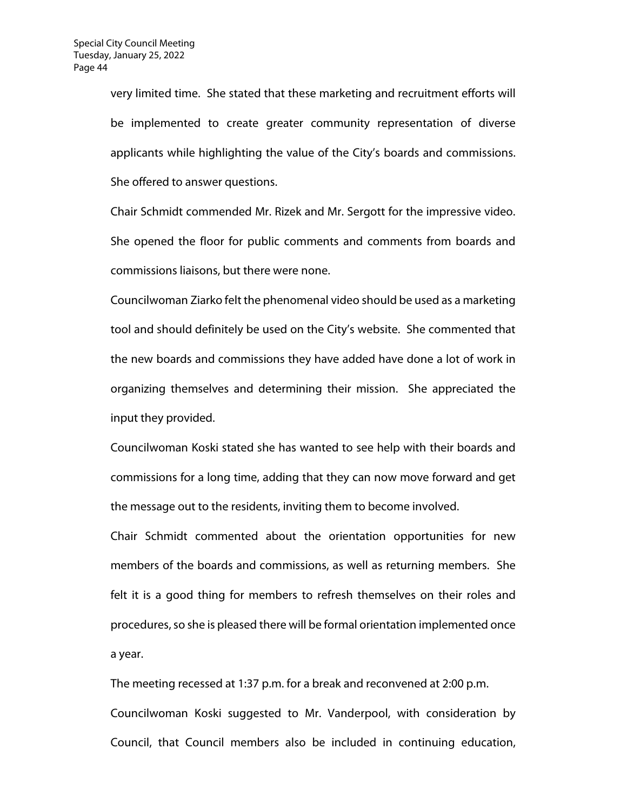very limited time. She stated that these marketing and recruitment efforts will be implemented to create greater community representation of diverse applicants while highlighting the value of the City's boards and commissions. She offered to answer questions.

Chair Schmidt commended Mr. Rizek and Mr. Sergott for the impressive video. She opened the floor for public comments and comments from boards and commissions liaisons, but there were none.

Councilwoman Ziarko felt the phenomenal video should be used as a marketing tool and should definitely be used on the City's website. She commented that the new boards and commissions they have added have done a lot of work in organizing themselves and determining their mission. She appreciated the input they provided.

Councilwoman Koski stated she has wanted to see help with their boards and commissions for a long time, adding that they can now move forward and get the message out to the residents, inviting them to become involved.

Chair Schmidt commented about the orientation opportunities for new members of the boards and commissions, as well as returning members. She felt it is a good thing for members to refresh themselves on their roles and procedures, so she is pleased there will be formal orientation implemented once a year.

The meeting recessed at 1:37 p.m. for a break and reconvened at 2:00 p.m. Councilwoman Koski suggested to Mr. Vanderpool, with consideration by Council, that Council members also be included in continuing education,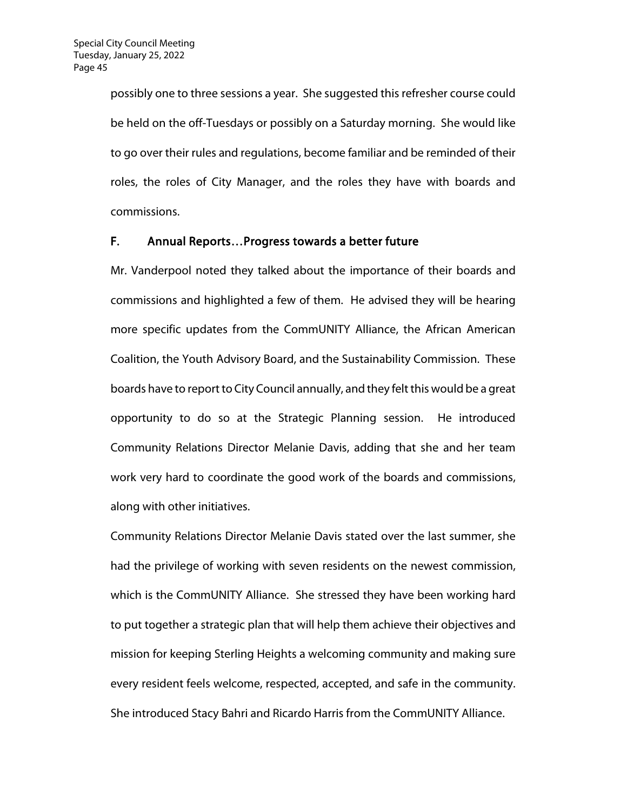possibly one to three sessions a year. She suggested this refresher course could be held on the off-Tuesdays or possibly on a Saturday morning. She would like to go over their rules and regulations, become familiar and be reminded of their roles, the roles of City Manager, and the roles they have with boards and commissions.

#### F. Annual Reports…Progress towards a better future

Mr. Vanderpool noted they talked about the importance of their boards and commissions and highlighted a few of them. He advised they will be hearing more specific updates from the CommUNITY Alliance, the African American Coalition, the Youth Advisory Board, and the Sustainability Commission. These boards have to report to City Council annually, and they felt this would be a great opportunity to do so at the Strategic Planning session. He introduced Community Relations Director Melanie Davis, adding that she and her team work very hard to coordinate the good work of the boards and commissions, along with other initiatives.

Community Relations Director Melanie Davis stated over the last summer, she had the privilege of working with seven residents on the newest commission, which is the CommUNITY Alliance. She stressed they have been working hard to put together a strategic plan that will help them achieve their objectives and mission for keeping Sterling Heights a welcoming community and making sure every resident feels welcome, respected, accepted, and safe in the community. She introduced Stacy Bahri and Ricardo Harris from the CommUNITY Alliance.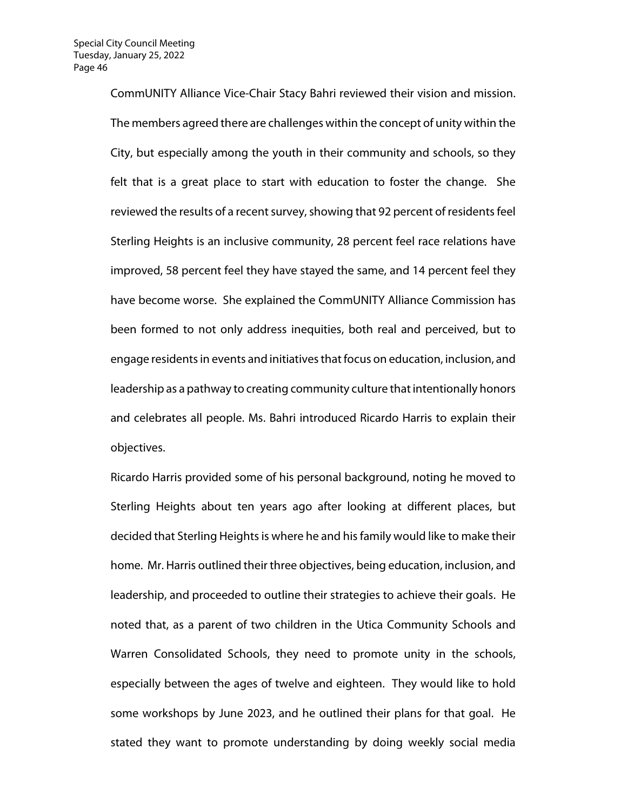CommUNITY Alliance Vice-Chair Stacy Bahri reviewed their vision and mission. The members agreed there are challenges within the concept of unity within the City, but especially among the youth in their community and schools, so they felt that is a great place to start with education to foster the change. She reviewed the results of a recent survey, showing that 92 percent of residents feel Sterling Heights is an inclusive community, 28 percent feel race relations have improved, 58 percent feel they have stayed the same, and 14 percent feel they have become worse. She explained the CommUNITY Alliance Commission has been formed to not only address inequities, both real and perceived, but to engage residents in events and initiatives that focus on education, inclusion, and leadership as a pathway to creating community culture that intentionally honors and celebrates all people. Ms. Bahri introduced Ricardo Harris to explain their objectives.

Ricardo Harris provided some of his personal background, noting he moved to Sterling Heights about ten years ago after looking at different places, but decided that Sterling Heights is where he and his family would like to make their home. Mr. Harris outlined their three objectives, being education, inclusion, and leadership, and proceeded to outline their strategies to achieve their goals. He noted that, as a parent of two children in the Utica Community Schools and Warren Consolidated Schools, they need to promote unity in the schools, especially between the ages of twelve and eighteen. They would like to hold some workshops by June 2023, and he outlined their plans for that goal. He stated they want to promote understanding by doing weekly social media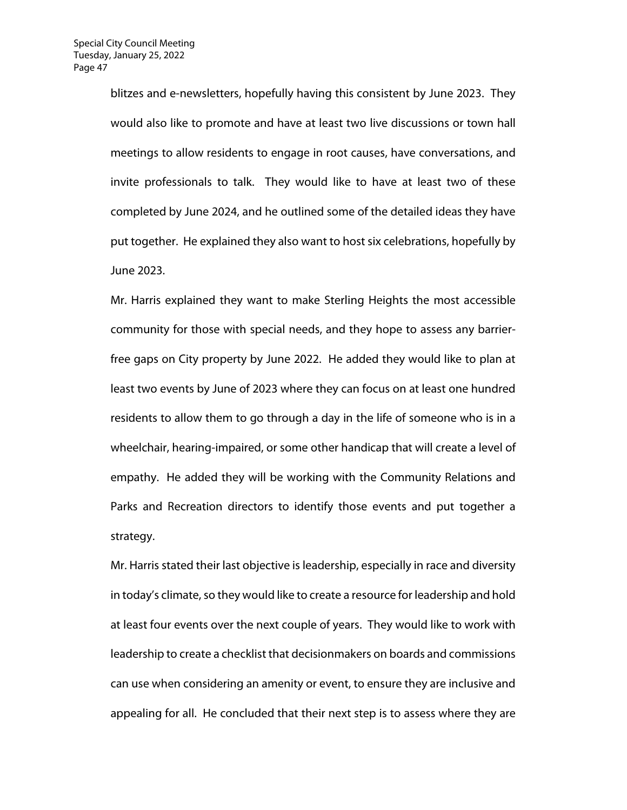blitzes and e-newsletters, hopefully having this consistent by June 2023. They would also like to promote and have at least two live discussions or town hall meetings to allow residents to engage in root causes, have conversations, and invite professionals to talk. They would like to have at least two of these completed by June 2024, and he outlined some of the detailed ideas they have put together. He explained they also want to host six celebrations, hopefully by June 2023.

Mr. Harris explained they want to make Sterling Heights the most accessible community for those with special needs, and they hope to assess any barrierfree gaps on City property by June 2022. He added they would like to plan at least two events by June of 2023 where they can focus on at least one hundred residents to allow them to go through a day in the life of someone who is in a wheelchair, hearing-impaired, or some other handicap that will create a level of empathy. He added they will be working with the Community Relations and Parks and Recreation directors to identify those events and put together a strategy.

Mr. Harris stated their last objective is leadership, especially in race and diversity in today's climate, so they would like to create a resource for leadership and hold at least four events over the next couple of years. They would like to work with leadership to create a checklist that decisionmakers on boards and commissions can use when considering an amenity or event, to ensure they are inclusive and appealing for all. He concluded that their next step is to assess where they are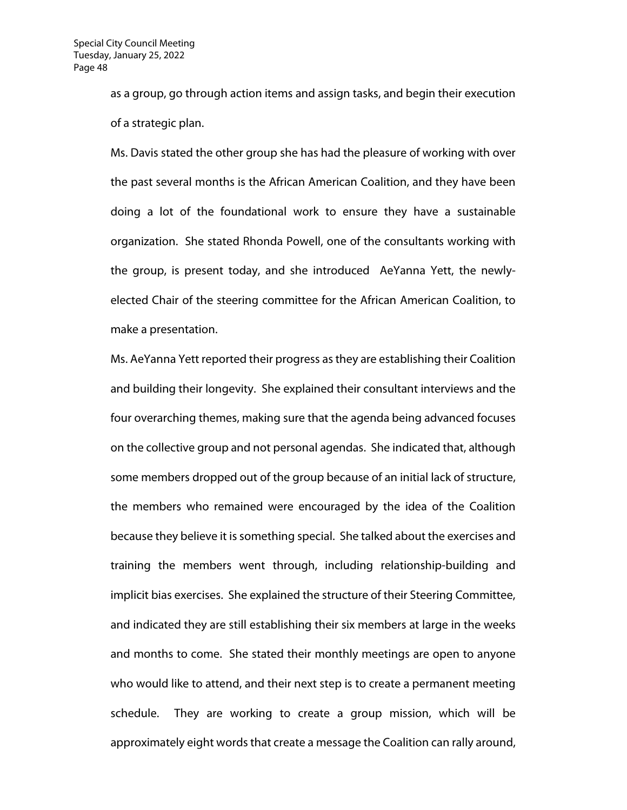as a group, go through action items and assign tasks, and begin their execution of a strategic plan.

Ms. Davis stated the other group she has had the pleasure of working with over the past several months is the African American Coalition, and they have been doing a lot of the foundational work to ensure they have a sustainable organization. She stated Rhonda Powell, one of the consultants working with the group, is present today, and she introduced AeYanna Yett, the newlyelected Chair of the steering committee for the African American Coalition, to make a presentation.

Ms. AeYanna Yett reported their progress as they are establishing their Coalition and building their longevity. She explained their consultant interviews and the four overarching themes, making sure that the agenda being advanced focuses on the collective group and not personal agendas. She indicated that, although some members dropped out of the group because of an initial lack of structure, the members who remained were encouraged by the idea of the Coalition because they believe it is something special. She talked about the exercises and training the members went through, including relationship-building and implicit bias exercises. She explained the structure of their Steering Committee, and indicated they are still establishing their six members at large in the weeks and months to come. She stated their monthly meetings are open to anyone who would like to attend, and their next step is to create a permanent meeting schedule. They are working to create a group mission, which will be approximately eight words that create a message the Coalition can rally around,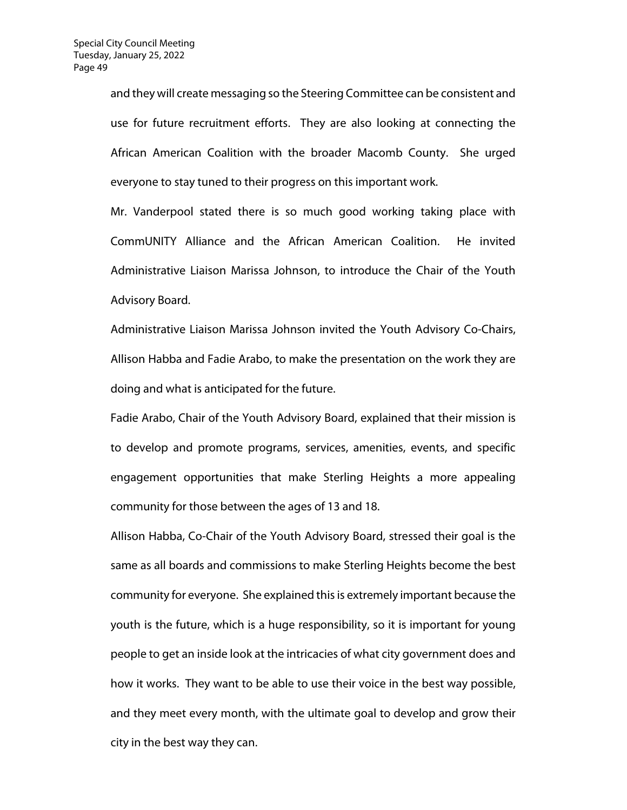and they will create messaging so the Steering Committee can be consistent and use for future recruitment efforts. They are also looking at connecting the African American Coalition with the broader Macomb County. She urged everyone to stay tuned to their progress on this important work.

Mr. Vanderpool stated there is so much good working taking place with CommUNITY Alliance and the African American Coalition. He invited Administrative Liaison Marissa Johnson, to introduce the Chair of the Youth Advisory Board.

Administrative Liaison Marissa Johnson invited the Youth Advisory Co-Chairs, Allison Habba and Fadie Arabo, to make the presentation on the work they are doing and what is anticipated for the future.

Fadie Arabo, Chair of the Youth Advisory Board, explained that their mission is to develop and promote programs, services, amenities, events, and specific engagement opportunities that make Sterling Heights a more appealing community for those between the ages of 13 and 18.

Allison Habba, Co-Chair of the Youth Advisory Board, stressed their goal is the same as all boards and commissions to make Sterling Heights become the best community for everyone. She explained this is extremely important because the youth is the future, which is a huge responsibility, so it is important for young people to get an inside look at the intricacies of what city government does and how it works. They want to be able to use their voice in the best way possible, and they meet every month, with the ultimate goal to develop and grow their city in the best way they can.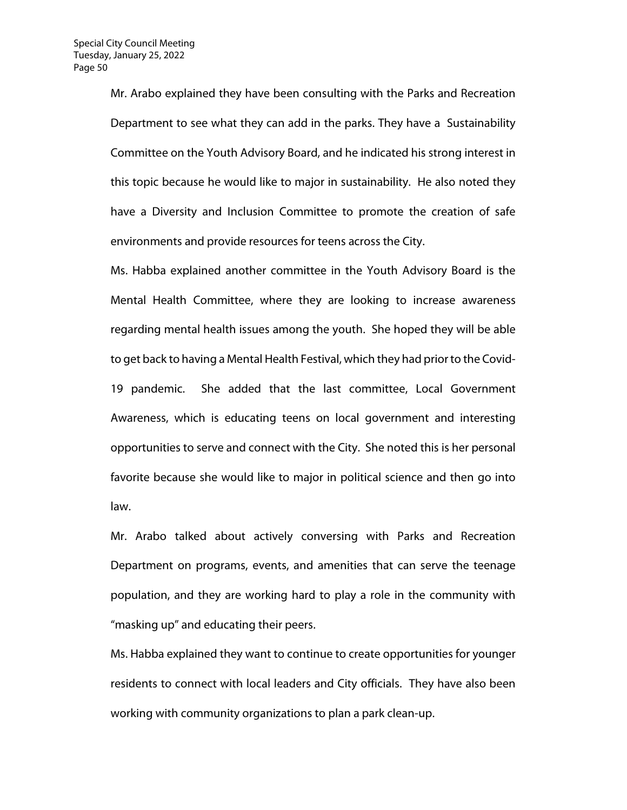Mr. Arabo explained they have been consulting with the Parks and Recreation Department to see what they can add in the parks. They have a Sustainability Committee on the Youth Advisory Board, and he indicated his strong interest in this topic because he would like to major in sustainability. He also noted they have a Diversity and Inclusion Committee to promote the creation of safe environments and provide resources for teens across the City.

Ms. Habba explained another committee in the Youth Advisory Board is the Mental Health Committee, where they are looking to increase awareness regarding mental health issues among the youth. She hoped they will be able to get back to having a Mental Health Festival, which they had prior to the Covid-19 pandemic. She added that the last committee, Local Government Awareness, which is educating teens on local government and interesting opportunities to serve and connect with the City. She noted this is her personal favorite because she would like to major in political science and then go into law.

Mr. Arabo talked about actively conversing with Parks and Recreation Department on programs, events, and amenities that can serve the teenage population, and they are working hard to play a role in the community with "masking up" and educating their peers.

Ms. Habba explained they want to continue to create opportunities for younger residents to connect with local leaders and City officials. They have also been working with community organizations to plan a park clean-up.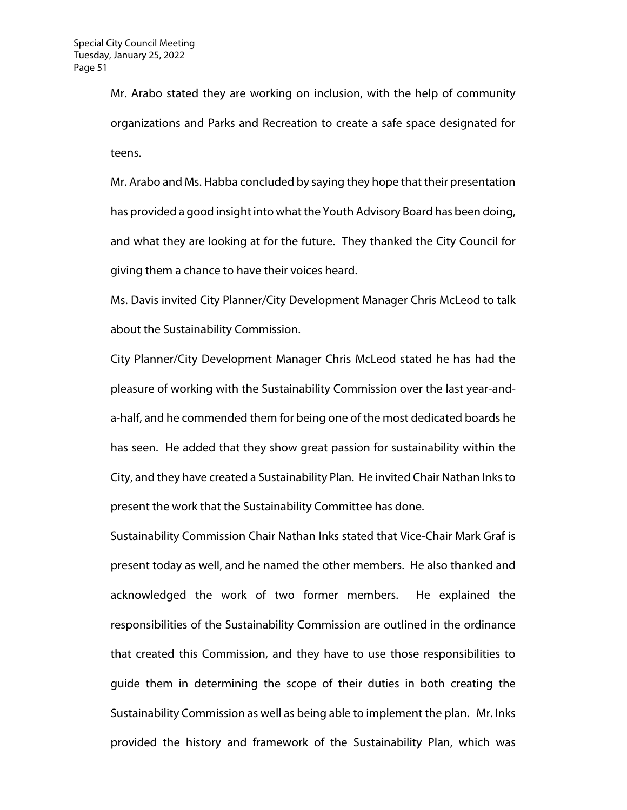Mr. Arabo stated they are working on inclusion, with the help of community organizations and Parks and Recreation to create a safe space designated for teens.

Mr. Arabo and Ms. Habba concluded by saying they hope that their presentation has provided a good insight into what the Youth Advisory Board has been doing, and what they are looking at for the future. They thanked the City Council for giving them a chance to have their voices heard.

Ms. Davis invited City Planner/City Development Manager Chris McLeod to talk about the Sustainability Commission.

City Planner/City Development Manager Chris McLeod stated he has had the pleasure of working with the Sustainability Commission over the last year-anda-half, and he commended them for being one of the most dedicated boards he has seen. He added that they show great passion for sustainability within the City, and they have created a Sustainability Plan. He invited Chair Nathan Inks to present the work that the Sustainability Committee has done.

Sustainability Commission Chair Nathan Inks stated that Vice-Chair Mark Graf is present today as well, and he named the other members. He also thanked and acknowledged the work of two former members. He explained the responsibilities of the Sustainability Commission are outlined in the ordinance that created this Commission, and they have to use those responsibilities to guide them in determining the scope of their duties in both creating the Sustainability Commission as well as being able to implement the plan. Mr. Inks provided the history and framework of the Sustainability Plan, which was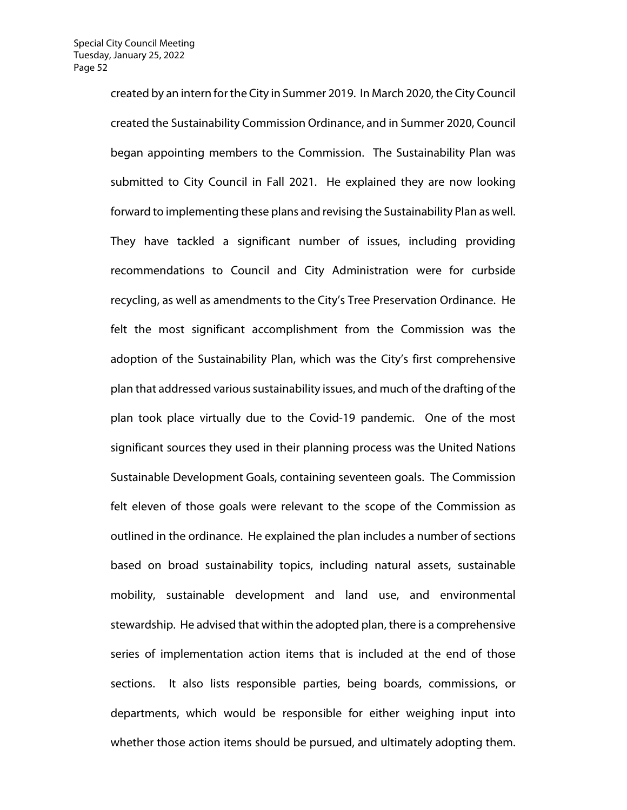created by an intern for the City in Summer 2019. In March 2020, the City Council created the Sustainability Commission Ordinance, and in Summer 2020, Council began appointing members to the Commission. The Sustainability Plan was submitted to City Council in Fall 2021. He explained they are now looking forward to implementing these plans and revising the Sustainability Plan as well. They have tackled a significant number of issues, including providing recommendations to Council and City Administration were for curbside recycling, as well as amendments to the City's Tree Preservation Ordinance. He felt the most significant accomplishment from the Commission was the adoption of the Sustainability Plan, which was the City's first comprehensive plan that addressed various sustainability issues, and much of the drafting of the plan took place virtually due to the Covid-19 pandemic. One of the most significant sources they used in their planning process was the United Nations Sustainable Development Goals, containing seventeen goals. The Commission felt eleven of those goals were relevant to the scope of the Commission as outlined in the ordinance. He explained the plan includes a number of sections based on broad sustainability topics, including natural assets, sustainable mobility, sustainable development and land use, and environmental stewardship. He advised that within the adopted plan, there is a comprehensive series of implementation action items that is included at the end of those sections. It also lists responsible parties, being boards, commissions, or departments, which would be responsible for either weighing input into whether those action items should be pursued, and ultimately adopting them.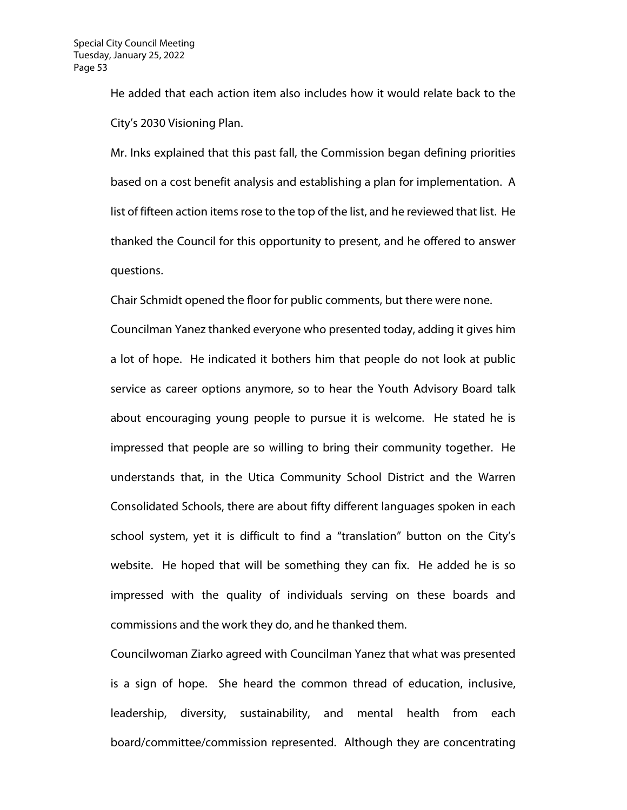He added that each action item also includes how it would relate back to the City's 2030 Visioning Plan.

Mr. Inks explained that this past fall, the Commission began defining priorities based on a cost benefit analysis and establishing a plan for implementation. A list of fifteen action items rose to the top of the list, and he reviewed that list. He thanked the Council for this opportunity to present, and he offered to answer questions.

Chair Schmidt opened the floor for public comments, but there were none.

Councilman Yanez thanked everyone who presented today, adding it gives him a lot of hope. He indicated it bothers him that people do not look at public service as career options anymore, so to hear the Youth Advisory Board talk about encouraging young people to pursue it is welcome. He stated he is impressed that people are so willing to bring their community together. He understands that, in the Utica Community School District and the Warren Consolidated Schools, there are about fifty different languages spoken in each school system, yet it is difficult to find a "translation" button on the City's website. He hoped that will be something they can fix. He added he is so impressed with the quality of individuals serving on these boards and commissions and the work they do, and he thanked them.

Councilwoman Ziarko agreed with Councilman Yanez that what was presented is a sign of hope. She heard the common thread of education, inclusive, leadership, diversity, sustainability, and mental health from each board/committee/commission represented. Although they are concentrating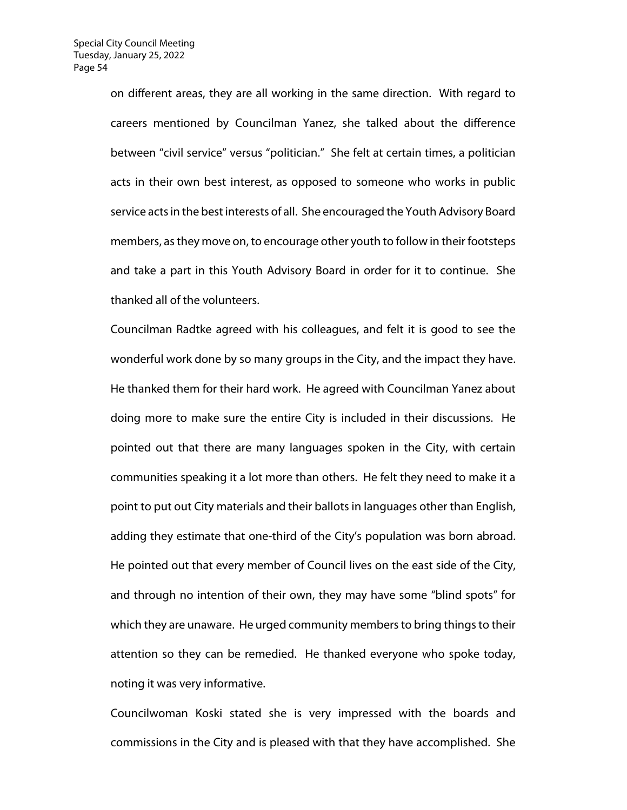on different areas, they are all working in the same direction. With regard to careers mentioned by Councilman Yanez, she talked about the difference between "civil service" versus "politician." She felt at certain times, a politician acts in their own best interest, as opposed to someone who works in public service acts in the best interests of all. She encouraged the Youth Advisory Board members, as they move on, to encourage other youth to follow in their footsteps and take a part in this Youth Advisory Board in order for it to continue. She thanked all of the volunteers.

Councilman Radtke agreed with his colleagues, and felt it is good to see the wonderful work done by so many groups in the City, and the impact they have. He thanked them for their hard work. He agreed with Councilman Yanez about doing more to make sure the entire City is included in their discussions. He pointed out that there are many languages spoken in the City, with certain communities speaking it a lot more than others. He felt they need to make it a point to put out City materials and their ballots in languages other than English, adding they estimate that one-third of the City's population was born abroad. He pointed out that every member of Council lives on the east side of the City, and through no intention of their own, they may have some "blind spots" for which they are unaware. He urged community members to bring things to their attention so they can be remedied. He thanked everyone who spoke today, noting it was very informative.

Councilwoman Koski stated she is very impressed with the boards and commissions in the City and is pleased with that they have accomplished. She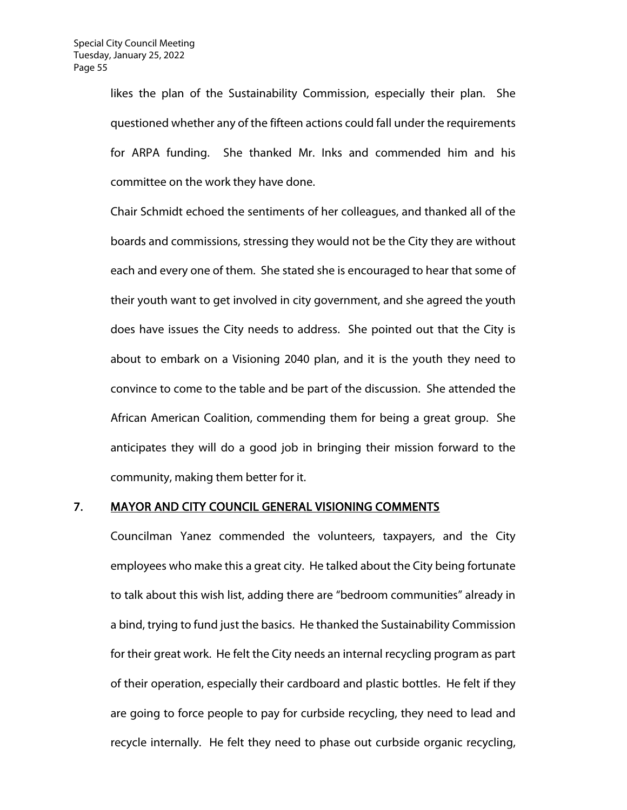likes the plan of the Sustainability Commission, especially their plan. She questioned whether any of the fifteen actions could fall under the requirements for ARPA funding. She thanked Mr. Inks and commended him and his committee on the work they have done.

Chair Schmidt echoed the sentiments of her colleagues, and thanked all of the boards and commissions, stressing they would not be the City they are without each and every one of them. She stated she is encouraged to hear that some of their youth want to get involved in city government, and she agreed the youth does have issues the City needs to address. She pointed out that the City is about to embark on a Visioning 2040 plan, and it is the youth they need to convince to come to the table and be part of the discussion. She attended the African American Coalition, commending them for being a great group. She anticipates they will do a good job in bringing their mission forward to the community, making them better for it.

#### 7. MAYOR AND CITY COUNCIL GENERAL VISIONING COMMENTS

Councilman Yanez commended the volunteers, taxpayers, and the City employees who make this a great city. He talked about the City being fortunate to talk about this wish list, adding there are "bedroom communities" already in a bind, trying to fund just the basics. He thanked the Sustainability Commission for their great work. He felt the City needs an internal recycling program as part of their operation, especially their cardboard and plastic bottles. He felt if they are going to force people to pay for curbside recycling, they need to lead and recycle internally. He felt they need to phase out curbside organic recycling,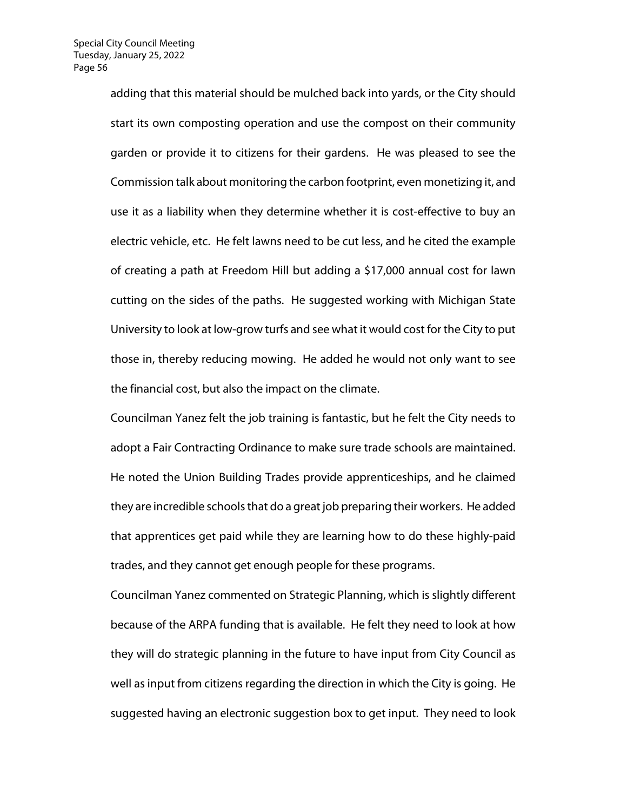adding that this material should be mulched back into yards, or the City should start its own composting operation and use the compost on their community garden or provide it to citizens for their gardens. He was pleased to see the Commission talk about monitoring the carbon footprint, even monetizing it, and use it as a liability when they determine whether it is cost-effective to buy an electric vehicle, etc. He felt lawns need to be cut less, and he cited the example of creating a path at Freedom Hill but adding a \$17,000 annual cost for lawn cutting on the sides of the paths. He suggested working with Michigan State University to look at low-grow turfs and see what it would cost for the City to put those in, thereby reducing mowing. He added he would not only want to see the financial cost, but also the impact on the climate.

Councilman Yanez felt the job training is fantastic, but he felt the City needs to adopt a Fair Contracting Ordinance to make sure trade schools are maintained. He noted the Union Building Trades provide apprenticeships, and he claimed they are incredible schools that do a great job preparing their workers. He added that apprentices get paid while they are learning how to do these highly-paid trades, and they cannot get enough people for these programs.

Councilman Yanez commented on Strategic Planning, which is slightly different because of the ARPA funding that is available. He felt they need to look at how they will do strategic planning in the future to have input from City Council as well as input from citizens regarding the direction in which the City is going. He suggested having an electronic suggestion box to get input. They need to look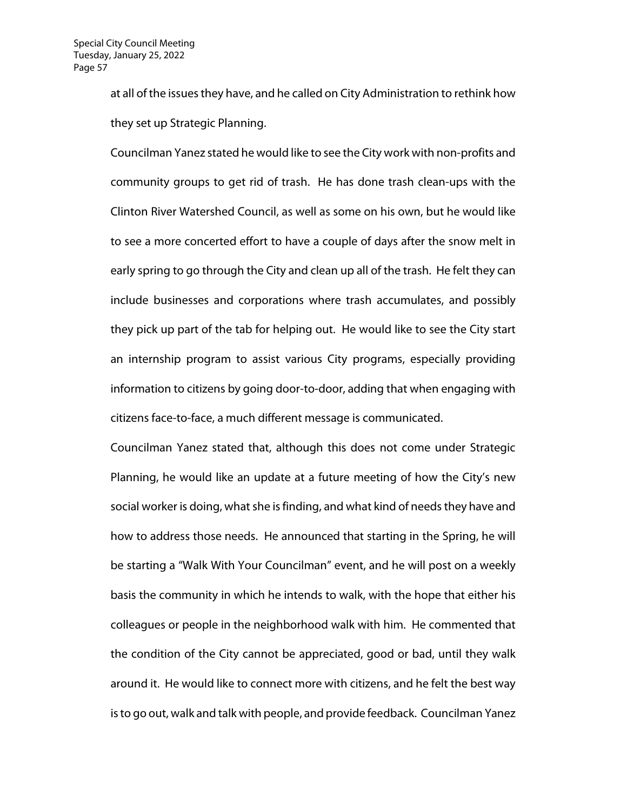at all of the issues they have, and he called on City Administration to rethink how they set up Strategic Planning.

Councilman Yanez stated he would like to see the City work with non-profits and community groups to get rid of trash. He has done trash clean-ups with the Clinton River Watershed Council, as well as some on his own, but he would like to see a more concerted effort to have a couple of days after the snow melt in early spring to go through the City and clean up all of the trash. He felt they can include businesses and corporations where trash accumulates, and possibly they pick up part of the tab for helping out. He would like to see the City start an internship program to assist various City programs, especially providing information to citizens by going door-to-door, adding that when engaging with citizens face-to-face, a much different message is communicated.

Councilman Yanez stated that, although this does not come under Strategic Planning, he would like an update at a future meeting of how the City's new social worker is doing, what she is finding, and what kind of needs they have and how to address those needs. He announced that starting in the Spring, he will be starting a "Walk With Your Councilman" event, and he will post on a weekly basis the community in which he intends to walk, with the hope that either his colleagues or people in the neighborhood walk with him. He commented that the condition of the City cannot be appreciated, good or bad, until they walk around it. He would like to connect more with citizens, and he felt the best way is to go out, walk and talk with people, and provide feedback. Councilman Yanez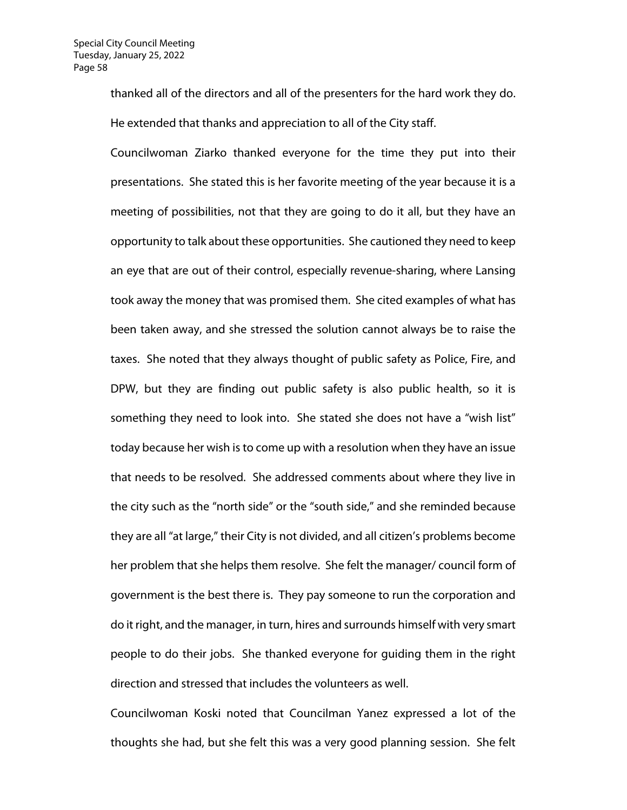thanked all of the directors and all of the presenters for the hard work they do. He extended that thanks and appreciation to all of the City staff.

Councilwoman Ziarko thanked everyone for the time they put into their presentations. She stated this is her favorite meeting of the year because it is a meeting of possibilities, not that they are going to do it all, but they have an opportunity to talk about these opportunities. She cautioned they need to keep an eye that are out of their control, especially revenue-sharing, where Lansing took away the money that was promised them. She cited examples of what has been taken away, and she stressed the solution cannot always be to raise the taxes. She noted that they always thought of public safety as Police, Fire, and DPW, but they are finding out public safety is also public health, so it is something they need to look into. She stated she does not have a "wish list" today because her wish is to come up with a resolution when they have an issue that needs to be resolved. She addressed comments about where they live in the city such as the "north side" or the "south side," and she reminded because they are all "at large," their City is not divided, and all citizen's problems become her problem that she helps them resolve. She felt the manager/ council form of government is the best there is. They pay someone to run the corporation and do it right, and the manager, in turn, hires and surrounds himself with very smart people to do their jobs. She thanked everyone for guiding them in the right direction and stressed that includes the volunteers as well.

Councilwoman Koski noted that Councilman Yanez expressed a lot of the thoughts she had, but she felt this was a very good planning session. She felt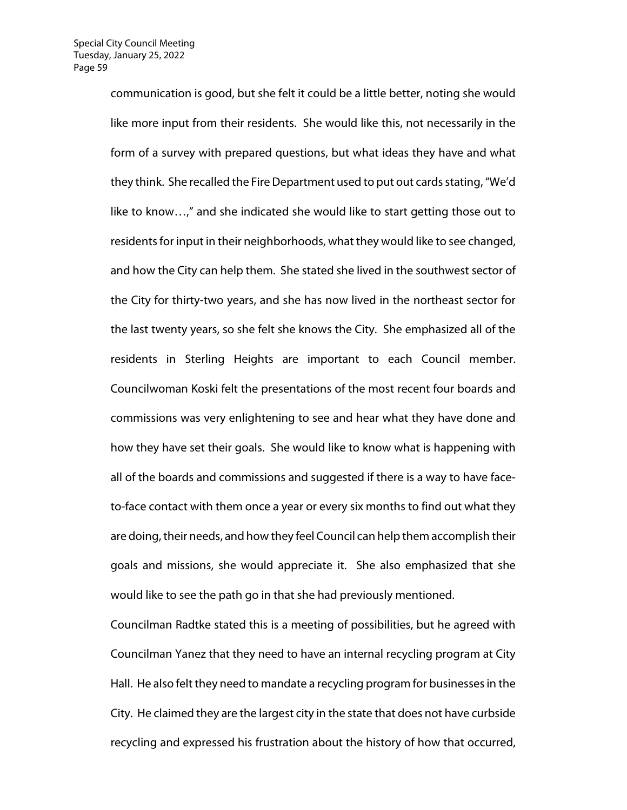communication is good, but she felt it could be a little better, noting she would like more input from their residents. She would like this, not necessarily in the form of a survey with prepared questions, but what ideas they have and what they think. She recalled the Fire Department used to put out cards stating,"We'd like to know…," and she indicated she would like to start getting those out to residents for input in their neighborhoods, what they would like to see changed, and how the City can help them. She stated she lived in the southwest sector of the City for thirty-two years, and she has now lived in the northeast sector for the last twenty years, so she felt she knows the City. She emphasized all of the residents in Sterling Heights are important to each Council member. Councilwoman Koski felt the presentations of the most recent four boards and commissions was very enlightening to see and hear what they have done and how they have set their goals. She would like to know what is happening with all of the boards and commissions and suggested if there is a way to have faceto-face contact with them once a year or every six months to find out what they are doing, their needs, and how they feel Council can help them accomplish their goals and missions, she would appreciate it. She also emphasized that she would like to see the path go in that she had previously mentioned.

Councilman Radtke stated this is a meeting of possibilities, but he agreed with Councilman Yanez that they need to have an internal recycling program at City Hall. He also felt they need to mandate a recycling program for businesses in the City. He claimed they are the largest city in the state that does not have curbside recycling and expressed his frustration about the history of how that occurred,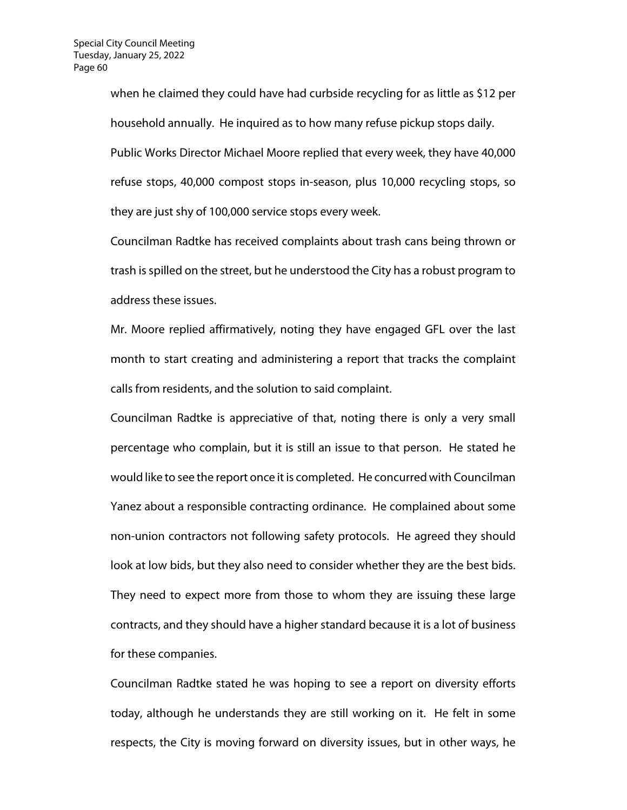when he claimed they could have had curbside recycling for as little as \$12 per household annually. He inquired as to how many refuse pickup stops daily. Public Works Director Michael Moore replied that every week, they have 40,000 refuse stops, 40,000 compost stops in-season, plus 10,000 recycling stops, so they are just shy of 100,000 service stops every week.

Councilman Radtke has received complaints about trash cans being thrown or trash is spilled on the street, but he understood the City has a robust program to address these issues.

Mr. Moore replied affirmatively, noting they have engaged GFL over the last month to start creating and administering a report that tracks the complaint calls from residents, and the solution to said complaint.

Councilman Radtke is appreciative of that, noting there is only a very small percentage who complain, but it is still an issue to that person. He stated he would like to see the report once it is completed. He concurred with Councilman Yanez about a responsible contracting ordinance. He complained about some non-union contractors not following safety protocols. He agreed they should look at low bids, but they also need to consider whether they are the best bids. They need to expect more from those to whom they are issuing these large contracts, and they should have a higher standard because it is a lot of business for these companies.

Councilman Radtke stated he was hoping to see a report on diversity efforts today, although he understands they are still working on it. He felt in some respects, the City is moving forward on diversity issues, but in other ways, he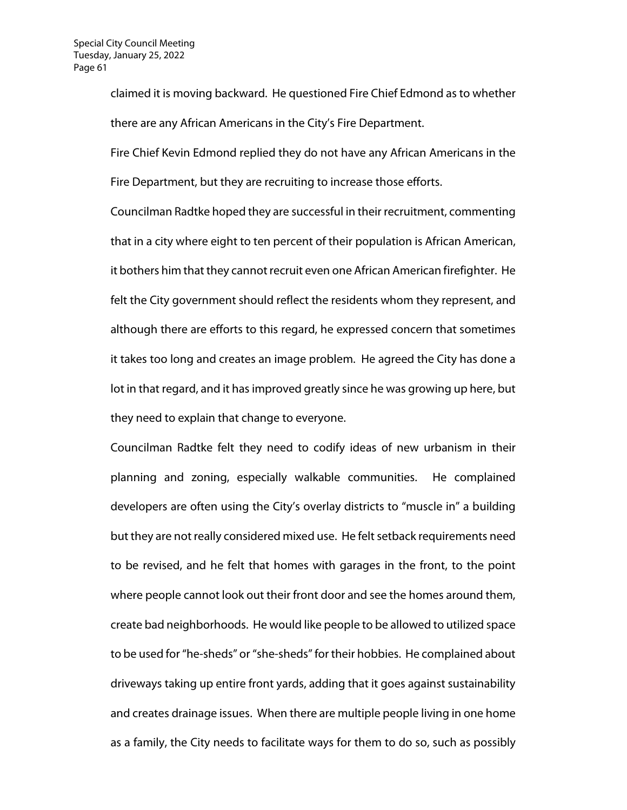claimed it is moving backward. He questioned Fire Chief Edmond as to whether there are any African Americans in the City's Fire Department.

Fire Chief Kevin Edmond replied they do not have any African Americans in the Fire Department, but they are recruiting to increase those efforts.

Councilman Radtke hoped they are successful in their recruitment, commenting that in a city where eight to ten percent of their population is African American, it bothers him that they cannot recruit even one African American firefighter. He felt the City government should reflect the residents whom they represent, and although there are efforts to this regard, he expressed concern that sometimes it takes too long and creates an image problem. He agreed the City has done a lot in that regard, and it has improved greatly since he was growing up here, but they need to explain that change to everyone.

Councilman Radtke felt they need to codify ideas of new urbanism in their planning and zoning, especially walkable communities. He complained developers are often using the City's overlay districts to "muscle in" a building but they are not really considered mixed use. He felt setback requirements need to be revised, and he felt that homes with garages in the front, to the point where people cannot look out their front door and see the homes around them, create bad neighborhoods. He would like people to be allowed to utilized space to be used for "he-sheds" or "she-sheds"for their hobbies. He complained about driveways taking up entire front yards, adding that it goes against sustainability and creates drainage issues. When there are multiple people living in one home as a family, the City needs to facilitate ways for them to do so, such as possibly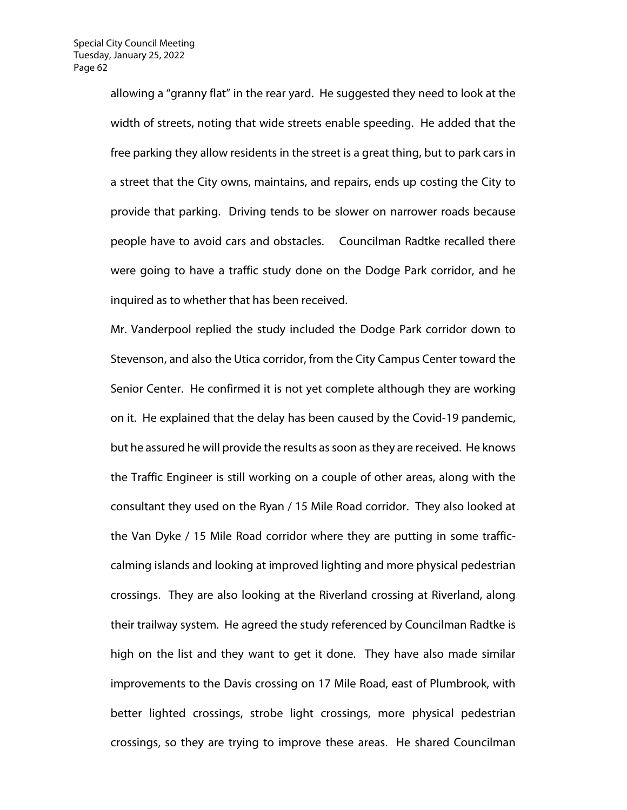allowing a "granny flat" in the rear yard. He suggested they need to look at the width of streets, noting that wide streets enable speeding. He added that the free parking they allow residents in the street is a great thing, but to park cars in a street that the City owns, maintains, and repairs, ends up costing the City to provide that parking. Driving tends to be slower on narrower roads because people have to avoid cars and obstacles. Councilman Radtke recalled there were going to have a traffic study done on the Dodge Park corridor, and he inquired as to whether that has been received.

Mr. Vanderpool replied the study included the Dodge Park corridor down to Stevenson, and also the Utica corridor, from the City Campus Center toward the Senior Center. He confirmed it is not yet complete although they are working on it. He explained that the delay has been caused by the Covid-19 pandemic, but he assured he will provide the results as soon as they are received. He knows the Traffic Engineer is still working on a couple of other areas, along with the consultant they used on the Ryan / 15 Mile Road corridor. They also looked at the Van Dyke / 15 Mile Road corridor where they are putting in some trafficcalming islands and looking at improved lighting and more physical pedestrian crossings. They are also looking at the Riverland crossing at Riverland, along their trailway system. He agreed the study referenced by Councilman Radtke is high on the list and they want to get it done. They have also made similar improvements to the Davis crossing on 17 Mile Road, east of Plumbrook, with better lighted crossings, strobe light crossings, more physical pedestrian crossings, so they are trying to improve these areas. He shared Councilman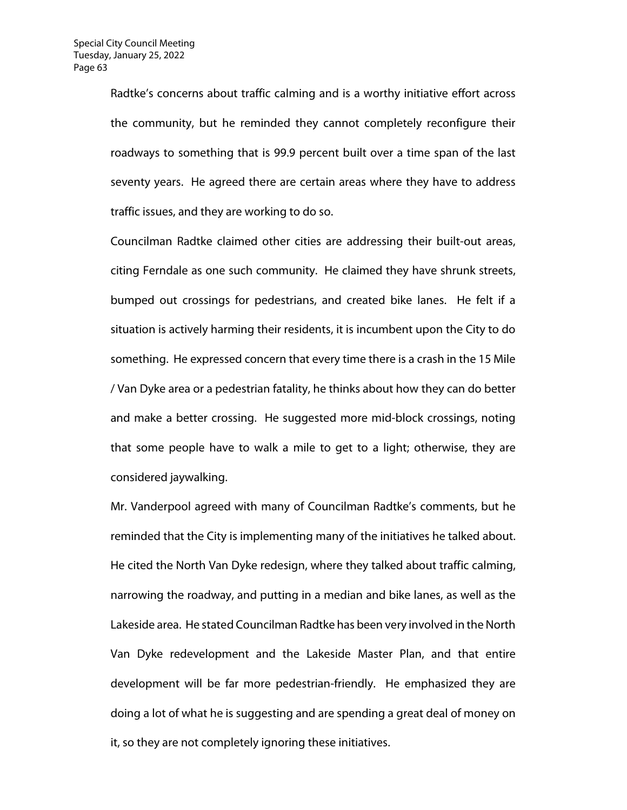Radtke's concerns about traffic calming and is a worthy initiative effort across the community, but he reminded they cannot completely reconfigure their roadways to something that is 99.9 percent built over a time span of the last seventy years. He agreed there are certain areas where they have to address traffic issues, and they are working to do so.

Councilman Radtke claimed other cities are addressing their built-out areas, citing Ferndale as one such community. He claimed they have shrunk streets, bumped out crossings for pedestrians, and created bike lanes. He felt if a situation is actively harming their residents, it is incumbent upon the City to do something. He expressed concern that every time there is a crash in the 15 Mile / Van Dyke area or a pedestrian fatality, he thinks about how they can do better and make a better crossing. He suggested more mid-block crossings, noting that some people have to walk a mile to get to a light; otherwise, they are considered jaywalking.

Mr. Vanderpool agreed with many of Councilman Radtke's comments, but he reminded that the City is implementing many of the initiatives he talked about. He cited the North Van Dyke redesign, where they talked about traffic calming, narrowing the roadway, and putting in a median and bike lanes, as well as the Lakeside area. He stated Councilman Radtke has been very involved in the North Van Dyke redevelopment and the Lakeside Master Plan, and that entire development will be far more pedestrian-friendly. He emphasized they are doing a lot of what he is suggesting and are spending a great deal of money on it, so they are not completely ignoring these initiatives.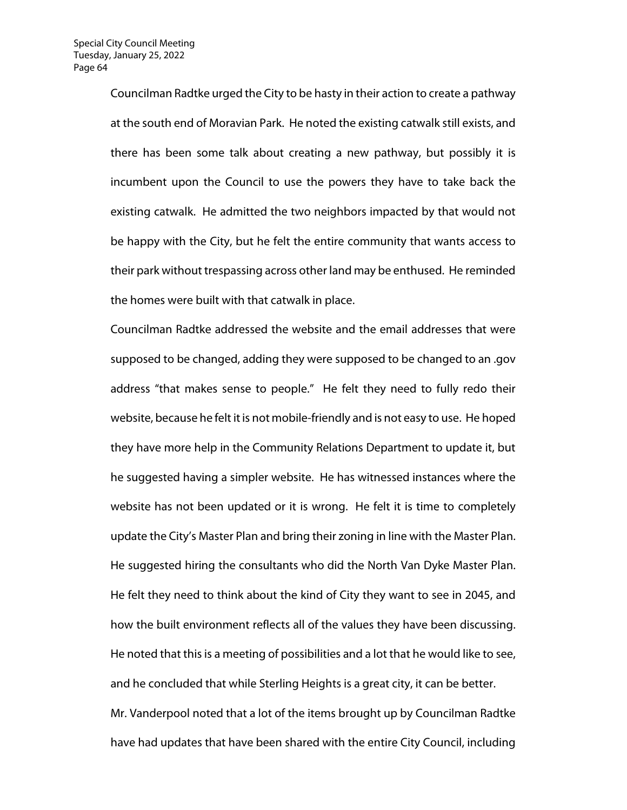Councilman Radtke urged the City to be hasty in their action to create a pathway at the south end of Moravian Park. He noted the existing catwalk still exists, and there has been some talk about creating a new pathway, but possibly it is incumbent upon the Council to use the powers they have to take back the existing catwalk. He admitted the two neighbors impacted by that would not be happy with the City, but he felt the entire community that wants access to their park without trespassing across other land may be enthused. He reminded the homes were built with that catwalk in place.

Councilman Radtke addressed the website and the email addresses that were supposed to be changed, adding they were supposed to be changed to an .gov address "that makes sense to people." He felt they need to fully redo their website, because he felt it is not mobile-friendly and is not easy to use. He hoped they have more help in the Community Relations Department to update it, but he suggested having a simpler website. He has witnessed instances where the website has not been updated or it is wrong. He felt it is time to completely update the City's Master Plan and bring their zoning in line with the Master Plan. He suggested hiring the consultants who did the North Van Dyke Master Plan. He felt they need to think about the kind of City they want to see in 2045, and how the built environment reflects all of the values they have been discussing. He noted that this is a meeting of possibilities and a lot that he would like to see, and he concluded that while Sterling Heights is a great city, it can be better. Mr. Vanderpool noted that a lot of the items brought up by Councilman Radtke have had updates that have been shared with the entire City Council, including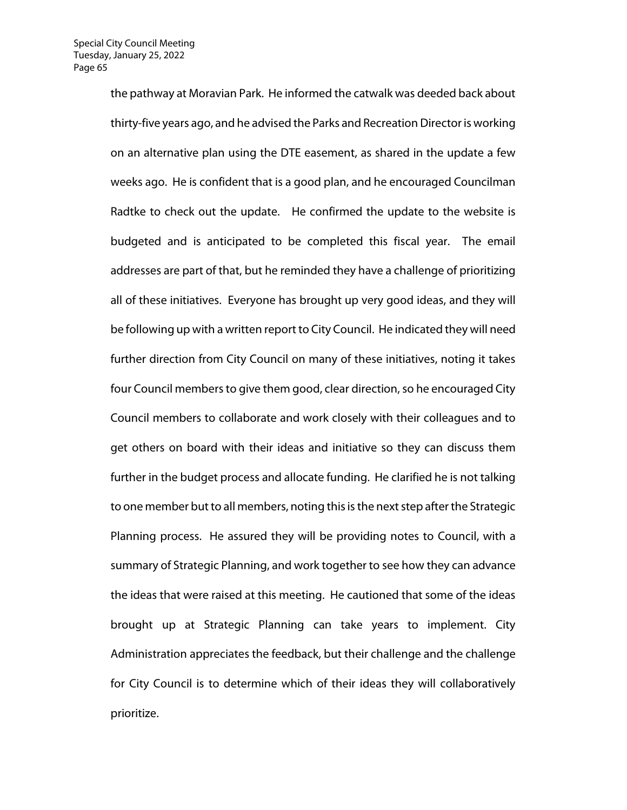the pathway at Moravian Park. He informed the catwalk was deeded back about thirty-five years ago, and he advised the Parks and Recreation Director is working on an alternative plan using the DTE easement, as shared in the update a few weeks ago. He is confident that is a good plan, and he encouraged Councilman Radtke to check out the update. He confirmed the update to the website is budgeted and is anticipated to be completed this fiscal year. The email addresses are part of that, but he reminded they have a challenge of prioritizing all of these initiatives. Everyone has brought up very good ideas, and they will be following up with a written report to City Council. He indicated they will need further direction from City Council on many of these initiatives, noting it takes four Council members to give them good, clear direction, so he encouraged City Council members to collaborate and work closely with their colleagues and to get others on board with their ideas and initiative so they can discuss them further in the budget process and allocate funding. He clarified he is not talking to one member but to all members, noting this is the next step after the Strategic Planning process. He assured they will be providing notes to Council, with a summary of Strategic Planning, and work together to see how they can advance the ideas that were raised at this meeting. He cautioned that some of the ideas brought up at Strategic Planning can take years to implement. City Administration appreciates the feedback, but their challenge and the challenge for City Council is to determine which of their ideas they will collaboratively prioritize.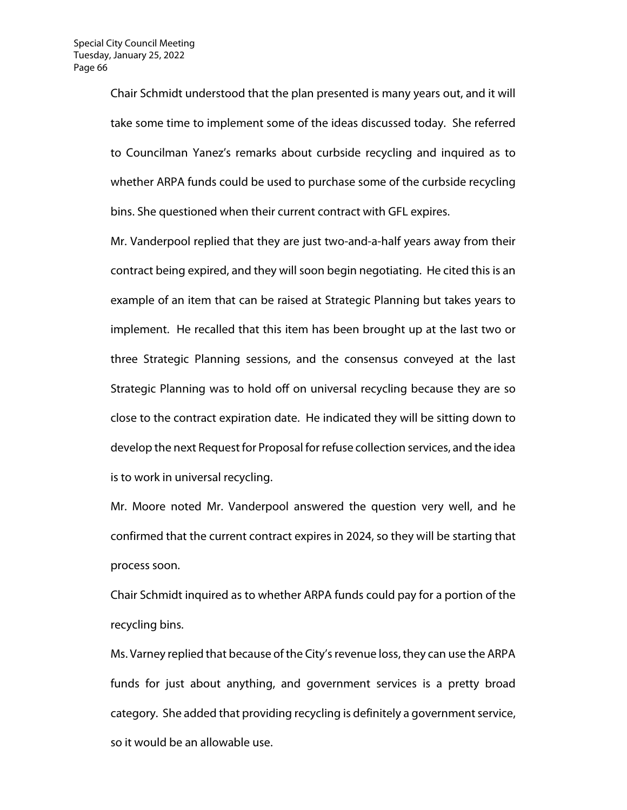Chair Schmidt understood that the plan presented is many years out, and it will take some time to implement some of the ideas discussed today. She referred to Councilman Yanez's remarks about curbside recycling and inquired as to whether ARPA funds could be used to purchase some of the curbside recycling bins. She questioned when their current contract with GFL expires.

Mr. Vanderpool replied that they are just two-and-a-half years away from their contract being expired, and they will soon begin negotiating. He cited this is an example of an item that can be raised at Strategic Planning but takes years to implement. He recalled that this item has been brought up at the last two or three Strategic Planning sessions, and the consensus conveyed at the last Strategic Planning was to hold off on universal recycling because they are so close to the contract expiration date. He indicated they will be sitting down to develop the next Request for Proposal for refuse collection services, and the idea is to work in universal recycling.

Mr. Moore noted Mr. Vanderpool answered the question very well, and he confirmed that the current contract expires in 2024, so they will be starting that process soon.

Chair Schmidt inquired as to whether ARPA funds could pay for a portion of the recycling bins.

Ms. Varney replied that because of the City's revenue loss, they can use the ARPA funds for just about anything, and government services is a pretty broad category. She added that providing recycling is definitely a government service, so it would be an allowable use.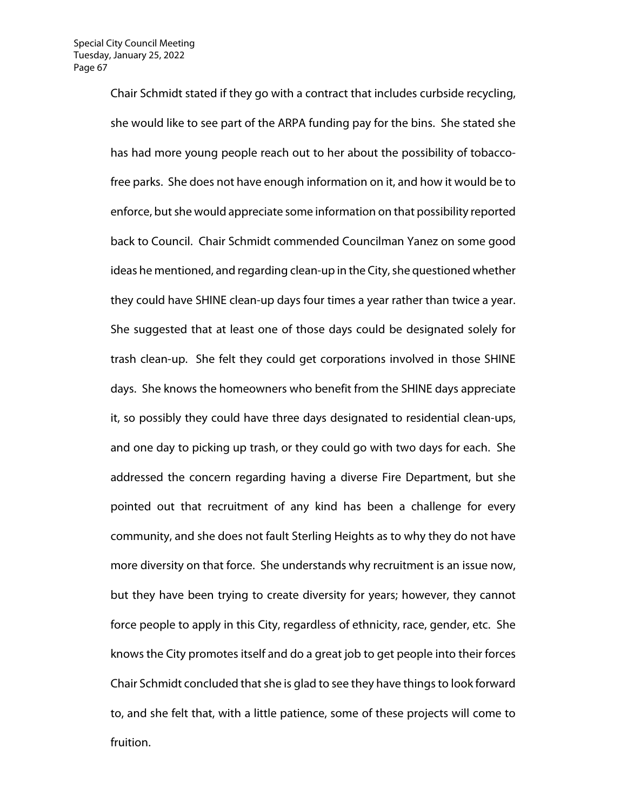Chair Schmidt stated if they go with a contract that includes curbside recycling, she would like to see part of the ARPA funding pay for the bins. She stated she has had more young people reach out to her about the possibility of tobaccofree parks. She does not have enough information on it, and how it would be to enforce, but she would appreciate some information on that possibility reported back to Council. Chair Schmidt commended Councilman Yanez on some good ideas he mentioned, and regarding clean-up in the City, she questioned whether they could have SHINE clean-up days four times a year rather than twice a year. She suggested that at least one of those days could be designated solely for trash clean-up. She felt they could get corporations involved in those SHINE days. She knows the homeowners who benefit from the SHINE days appreciate it, so possibly they could have three days designated to residential clean-ups, and one day to picking up trash, or they could go with two days for each. She addressed the concern regarding having a diverse Fire Department, but she pointed out that recruitment of any kind has been a challenge for every community, and she does not fault Sterling Heights as to why they do not have more diversity on that force. She understands why recruitment is an issue now, but they have been trying to create diversity for years; however, they cannot force people to apply in this City, regardless of ethnicity, race, gender, etc. She knows the City promotes itself and do a great job to get people into their forces Chair Schmidt concluded that she is glad to see they have things to look forward to, and she felt that, with a little patience, some of these projects will come to fruition.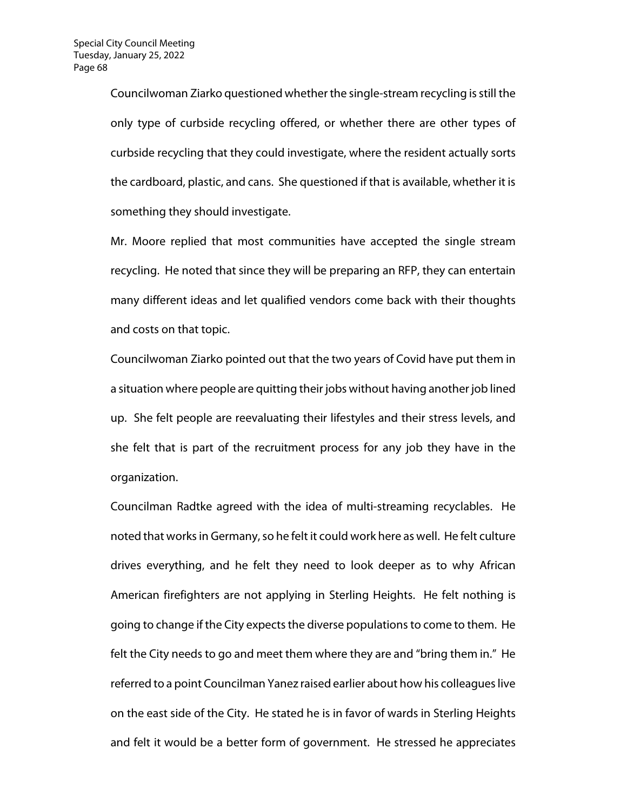Councilwoman Ziarko questioned whether the single-stream recycling is still the only type of curbside recycling offered, or whether there are other types of curbside recycling that they could investigate, where the resident actually sorts the cardboard, plastic, and cans. She questioned if that is available, whether it is something they should investigate.

Mr. Moore replied that most communities have accepted the single stream recycling. He noted that since they will be preparing an RFP, they can entertain many different ideas and let qualified vendors come back with their thoughts and costs on that topic.

Councilwoman Ziarko pointed out that the two years of Covid have put them in a situation where people are quitting their jobs without having another job lined up. She felt people are reevaluating their lifestyles and their stress levels, and she felt that is part of the recruitment process for any job they have in the organization.

Councilman Radtke agreed with the idea of multi-streaming recyclables. He noted that works in Germany, so he felt it could work here as well. He felt culture drives everything, and he felt they need to look deeper as to why African American firefighters are not applying in Sterling Heights. He felt nothing is going to change if the City expects the diverse populations to come to them. He felt the City needs to go and meet them where they are and "bring them in." He referred to a point Councilman Yanez raised earlier about how his colleagues live on the east side of the City. He stated he is in favor of wards in Sterling Heights and felt it would be a better form of government. He stressed he appreciates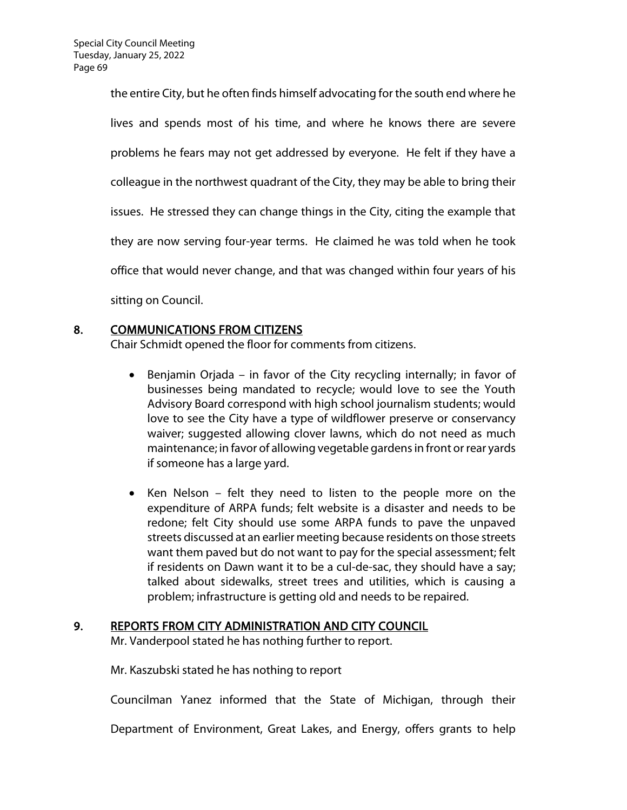the entire City, but he often finds himself advocating for the south end where he lives and spends most of his time, and where he knows there are severe problems he fears may not get addressed by everyone. He felt if they have a colleague in the northwest quadrant of the City, they may be able to bring their issues. He stressed they can change things in the City, citing the example that they are now serving four-year terms. He claimed he was told when he took office that would never change, and that was changed within four years of his sitting on Council.

## 8. COMMUNICATIONS FROM CITIZENS

Chair Schmidt opened the floor for comments from citizens.

- Benjamin Orjada in favor of the City recycling internally; in favor of businesses being mandated to recycle; would love to see the Youth Advisory Board correspond with high school journalism students; would love to see the City have a type of wildflower preserve or conservancy waiver; suggested allowing clover lawns, which do not need as much maintenance; in favor of allowing vegetable gardens in front or rear yards if someone has a large yard.
- Ken Nelson felt they need to listen to the people more on the expenditure of ARPA funds; felt website is a disaster and needs to be redone; felt City should use some ARPA funds to pave the unpaved streets discussed at an earlier meeting because residents on those streets want them paved but do not want to pay for the special assessment; felt if residents on Dawn want it to be a cul-de-sac, they should have a say; talked about sidewalks, street trees and utilities, which is causing a problem; infrastructure is getting old and needs to be repaired.

## 9. REPORTS FROM CITY ADMINISTRATION AND CITY COUNCIL

Mr. Vanderpool stated he has nothing further to report.

Mr. Kaszubski stated he has nothing to report

Councilman Yanez informed that the State of Michigan, through their

Department of Environment, Great Lakes, and Energy, offers grants to help